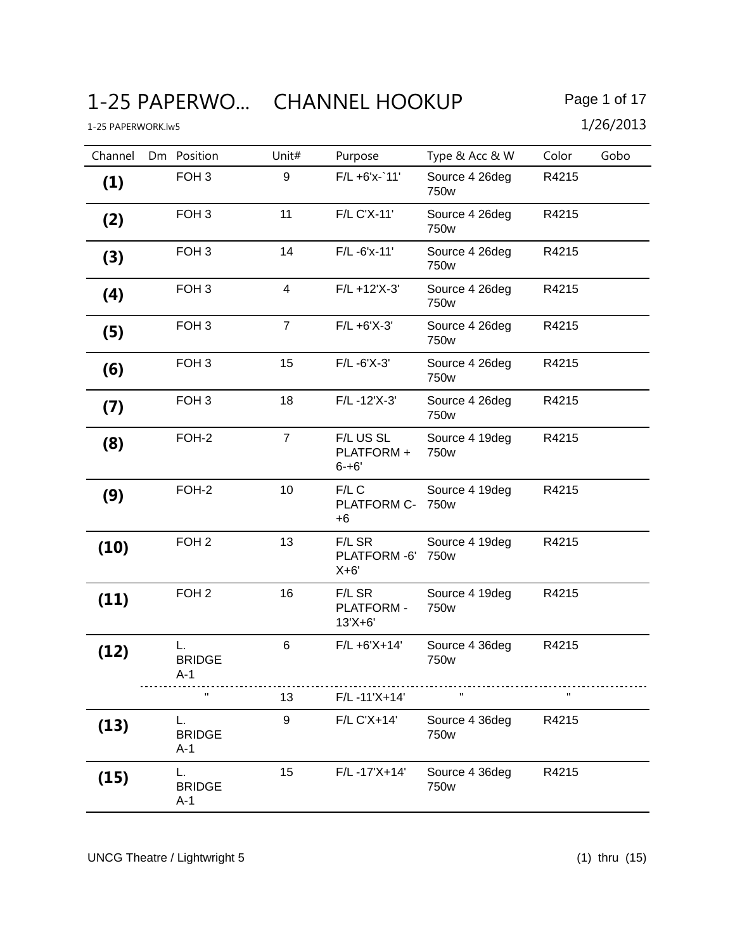# 1-25 PAPERWO... CHANNEL HOOKUP Page 1 of 17

| Channel | Dm Position                  | Unit#            | Purpose                               | Type & Acc & W                     | Color | Gobo |
|---------|------------------------------|------------------|---------------------------------------|------------------------------------|-------|------|
| (1)     | FOH <sub>3</sub>             | 9                | $F/L + 6'x - 11'$                     | Source 4 26deg<br>750w             | R4215 |      |
| (2)     | FOH <sub>3</sub>             | 11               | F/L C'X-11'                           | Source 4 26deg<br>750w             | R4215 |      |
| (3)     | FOH <sub>3</sub>             | 14               | F/L-6'x-11'                           | Source 4 26deg<br>750w             | R4215 |      |
| (4)     | FOH <sub>3</sub>             | $\overline{4}$   | $F/L + 12'X-3'$                       | Source 4 26deg<br>750w             | R4215 |      |
| (5)     | FOH <sub>3</sub>             | $\overline{7}$   | $F/L + 6'X-3'$                        | Source 4 26deg<br>750w             | R4215 |      |
| (6)     | FOH <sub>3</sub>             | 15               | $F/L - 6'X - 3'$                      | Source 4 26deg<br>750w             | R4215 |      |
| (7)     | FOH <sub>3</sub>             | 18               | F/L-12'X-3'                           | Source 4 26deg<br>750w             | R4215 |      |
| (8)     | FOH-2                        | $\overline{7}$   | F/L US SL<br>PLATFORM +<br>$6 - + 6'$ | Source 4 19deg<br>750 <sub>w</sub> | R4215 |      |
| (9)     | FOH-2                        | 10               | $F/L$ C<br>PLATFORM C- 750w<br>$+6$   | Source 4 19deg                     | R4215 |      |
| (10)    | FOH <sub>2</sub>             | 13               | F/L SR<br>PLATFORM-6'<br>$X+6'$       | Source 4 19deg<br>750 <sub>w</sub> | R4215 |      |
| (11)    | FOH <sub>2</sub>             | 16               | F/L SR<br>PLATFORM -<br>$13'X + 6'$   | Source 4 19deg<br>750 <sub>w</sub> | R4215 |      |
| (12)    | L.<br><b>BRIDGE</b><br>A-1   | 6                | $F/L + 6'X + 14'$                     | Source 4 36deg<br>750w             | R4215 |      |
|         | $\mathbf{H}$                 | 13               | F/L-11'X+14'                          |                                    |       |      |
| (13)    | L.<br><b>BRIDGE</b><br>$A-1$ | $\boldsymbol{9}$ | F/L C'X+14'                           | Source 4 36deg<br>750w             | R4215 |      |
| (15)    | L.<br><b>BRIDGE</b><br>$A-1$ | 15               | F/L-17'X+14'                          | Source 4 36deg<br>750w             | R4215 |      |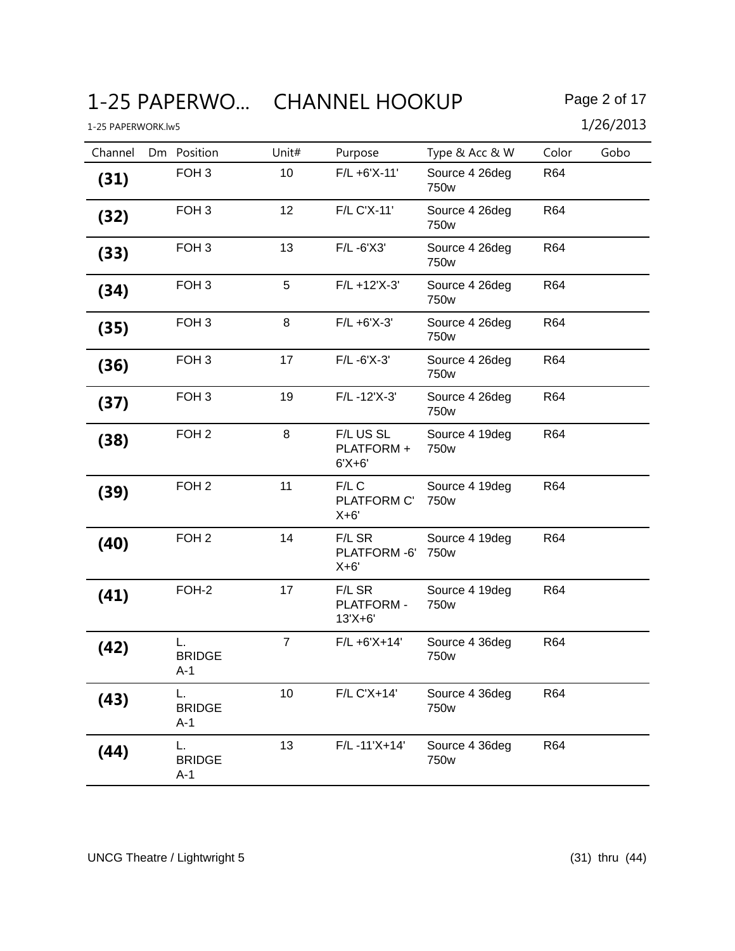# 1-25 PAPERWO... CHANNEL HOOKUP Page 2 of 17

| Channel | Dm Position                  | Unit#          | Purpose                               | Type & Acc & W                     | Color      | Gobo |
|---------|------------------------------|----------------|---------------------------------------|------------------------------------|------------|------|
| (31)    | FOH <sub>3</sub>             | 10             | $F/L + 6'X-11'$                       | Source 4 26deg<br>750w             | R64        |      |
| (32)    | FOH <sub>3</sub>             | 12             | F/L C'X-11'                           | Source 4 26deg<br>750w             | R64        |      |
| (33)    | FOH <sub>3</sub>             | 13             | F/L-6'X3'                             | Source 4 26deg<br>750w             | R64        |      |
| (34)    | FOH <sub>3</sub>             | 5              | $F/L + 12'X-3'$                       | Source 4 26deg<br>750w             | <b>R64</b> |      |
| (35)    | FOH <sub>3</sub>             | 8              | $F/L + 6'X-3'$                        | Source 4 26deg<br>750w             | R64        |      |
| (36)    | FOH <sub>3</sub>             | 17             | $F/L - 6'X - 3'$                      | Source 4 26deg<br>750w             | R64        |      |
| (37)    | FOH <sub>3</sub>             | 19             | F/L-12'X-3'                           | Source 4 26deg<br>750w             | R64        |      |
| (38)    | FOH <sub>2</sub>             | 8              | F/L US SL<br>PLATFORM +<br>$6'X + 6'$ | Source 4 19deg<br>750w             | R64        |      |
| (39)    | FOH <sub>2</sub>             | 11             | $F/L$ C<br>PLATFORM C'<br>$X+6'$      | Source 4 19deg<br>750 <sub>w</sub> | R64        |      |
| (40)    | FOH <sub>2</sub>             | 14             | F/L SR<br>PLATFORM-6'<br>$X+6'$       | Source 4 19deg<br>750 <sub>w</sub> | R64        |      |
| (41)    | FOH-2                        | 17             | F/L SR<br>PLATFORM -<br>$13'X + 6'$   | Source 4 19deg<br>750w             | R64        |      |
| (42)    | L.<br><b>BRIDGE</b><br>A-1   | $\overline{7}$ | $F/L + 6'X + 14'$                     | Source 4 36deg<br>750w             | R64        |      |
| (43)    | L.<br><b>BRIDGE</b><br>$A-1$ | 10             | F/L C'X+14'                           | Source 4 36deg<br>750w             | R64        |      |
| (44)    | L.<br><b>BRIDGE</b><br>$A-1$ | 13             | $F/L - 11'X + 14'$                    | Source 4 36deg<br>750w             | R64        |      |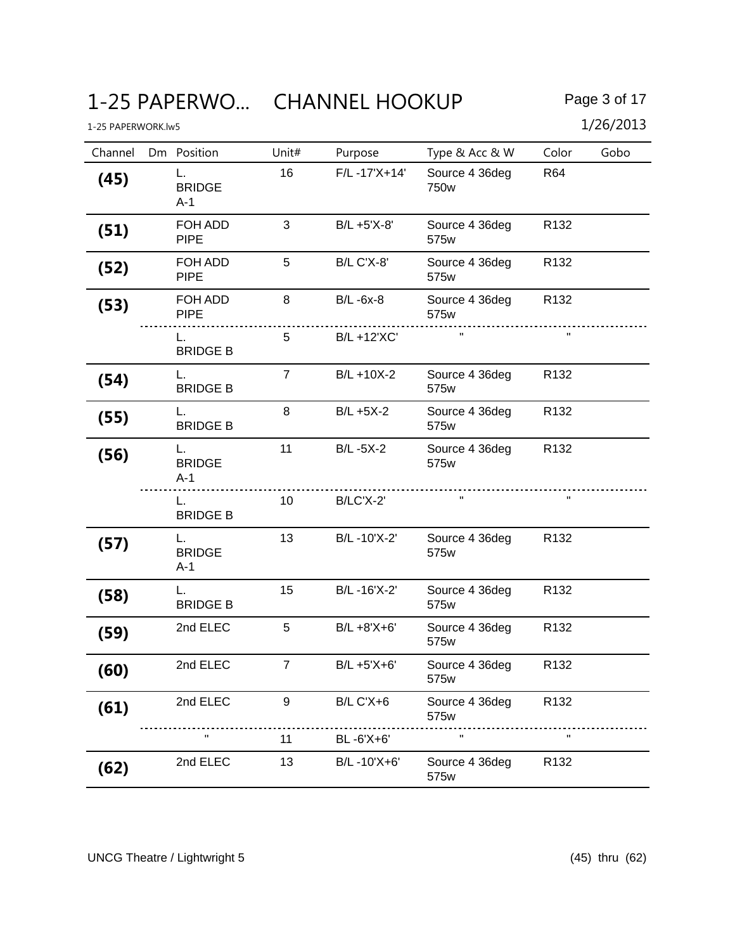# 1-25 PAPERWO... CHANNEL HOOKUP Page 3 of 17

| Channel | Dm Position                  | Unit#          | Purpose           | Type & Acc & W         | Color            | Gobo |
|---------|------------------------------|----------------|-------------------|------------------------|------------------|------|
| (45)    | L.<br><b>BRIDGE</b><br>$A-1$ | 16             | F/L-17'X+14'      | Source 4 36deg<br>750w | R64              |      |
| (51)    | FOH ADD<br><b>PIPE</b>       | 3              | B/L +5'X-8'       | Source 4 36deg<br>575w | R <sub>132</sub> |      |
| (52)    | FOH ADD<br><b>PIPE</b>       | 5              | <b>B/L C'X-8'</b> | Source 4 36deg<br>575w | R <sub>132</sub> |      |
| (53)    | FOH ADD<br><b>PIPE</b>       | 8              | $B/L - 6x-8$      | Source 4 36deg<br>575w | R132             |      |
|         | L.<br><b>BRIDGE B</b>        | 5              | B/L +12'XC'       |                        | $\mathbf H$      |      |
| (54)    | L.<br><b>BRIDGE B</b>        | $\overline{7}$ | B/L +10X-2        | Source 4 36deg<br>575w | R <sub>132</sub> |      |
| (55)    | L.<br><b>BRIDGE B</b>        | 8              | $B/L + 5X-2$      | Source 4 36deg<br>575w | R <sub>132</sub> |      |
| (56)    | L.<br><b>BRIDGE</b><br>$A-1$ | 11             | $B/L - 5X-2$      | Source 4 36deg<br>575w | R <sub>132</sub> |      |
|         | <b>BRIDGE B</b>              | 10             | B/LC'X-2'         | $\mathbf H$            | $\mathbf H$      |      |
| (57)    | L.<br><b>BRIDGE</b><br>$A-1$ | 13             | B/L-10'X-2'       | Source 4 36deg<br>575w | R132             |      |
| (58)    | L.<br><b>BRIDGE B</b>        | 15             | B/L-16'X-2'       | Source 4 36deg<br>575w | R132             |      |
| (59)    | 2nd ELEC                     | 5              | B/L +8'X+6'       | Source 4 36deg<br>575w | R132             |      |
| (60)    | 2nd ELEC                     | $\overline{7}$ | B/L +5'X+6'       | Source 4 36deg<br>575w | R132             |      |
| (61)    | 2nd ELEC                     | 9              | <b>B/L C'X+6</b>  | Source 4 36deg<br>575w | R <sub>132</sub> |      |
|         | π                            | 11             | BL-6'X+6'         |                        |                  |      |
| (62)    | 2nd ELEC                     | 13             | B/L-10'X+6'       | Source 4 36deg<br>575w | R <sub>132</sub> |      |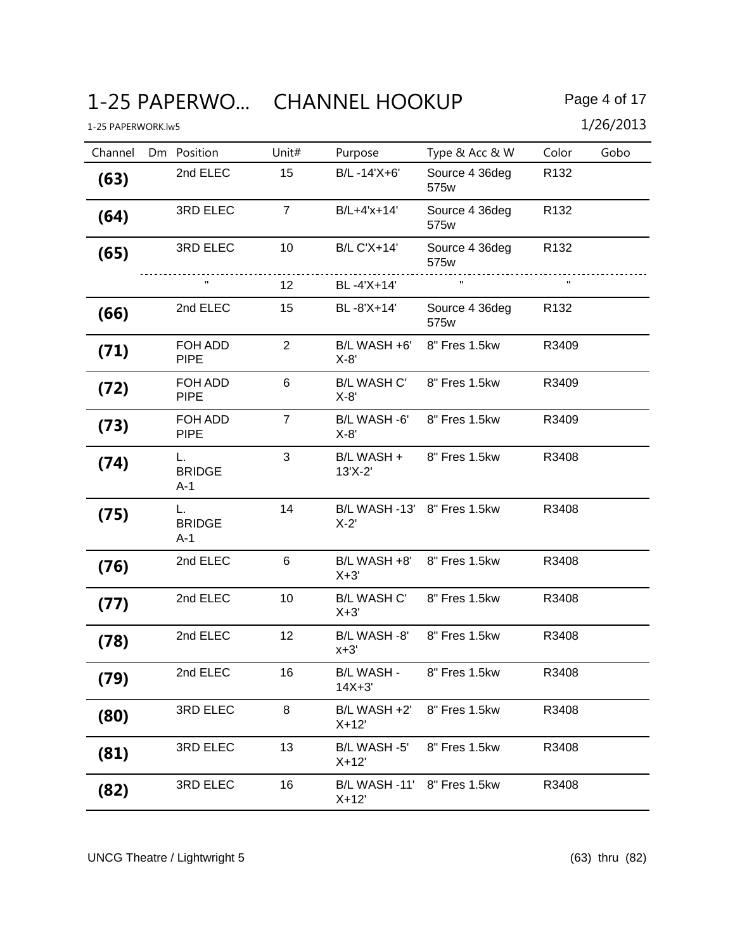# 1-25 PAPERWO... CHANNEL HOOKUP Page 4 of 17

| Channel | Dm Position                  | Unit#          | Purpose                                | Type & Acc & W         | Color            | Gobo |
|---------|------------------------------|----------------|----------------------------------------|------------------------|------------------|------|
| (63)    | 2nd ELEC                     | 15             | B/L-14'X+6'                            | Source 4 36deg<br>575w | R132             |      |
| (64)    | 3RD ELEC                     | $\overline{7}$ | B/L+4'x+14'                            | Source 4 36deg<br>575w | R <sub>132</sub> |      |
| (65)    | 3RD ELEC                     | 10             | <b>B/L C'X+14'</b>                     | Source 4 36deg<br>575w | R <sub>132</sub> |      |
|         |                              | 12             | BL-4'X+14'                             | $\mathbf{H}$           | $\mathbf{H}$     |      |
| (66)    | 2nd ELEC                     | 15             | BL-8'X+14'                             | Source 4 36deg<br>575w | R <sub>132</sub> |      |
| (71)    | FOH ADD<br><b>PIPE</b>       | $\overline{2}$ | B/L WASH +6'<br>$X-8'$                 | 8" Fres 1.5kw          | R3409            |      |
| (72)    | FOH ADD<br><b>PIPE</b>       | 6              | <b>B/L WASH C'</b><br>$X-8'$           | 8" Fres 1.5kw          | R3409            |      |
| (73)    | FOH ADD<br><b>PIPE</b>       | $\overline{7}$ | B/L WASH -6'<br>$X-8'$                 | 8" Fres 1.5kw          | R3409            |      |
| (74)    | L.<br><b>BRIDGE</b><br>$A-1$ | 3              | B/L WASH +<br>13'X-2'                  | 8" Fres 1.5kw          | R3408            |      |
| (75)    | L.<br><b>BRIDGE</b><br>A-1   | 14             | B/L WASH -13' 8" Fres 1.5kw<br>$X-2'$  |                        | R3408            |      |
| (76)    | 2nd ELEC                     | 6              | B/L WASH +8'<br>$X+3'$                 | 8" Fres 1.5kw          | R3408            |      |
| (77)    | 2nd ELEC                     | 10             | <b>B/L WASH C'</b><br>$X+3'$           | 8" Fres 1.5kw          | R3408            |      |
| (78)    | 2nd ELEC                     | 12             | B/L WASH -8' 8" Fres 1.5kw<br>$x+3'$   |                        | R3408            |      |
| (79)    | 2nd ELEC                     | 16             | B/L WASH -<br>$14X + 3'$               | 8" Fres 1.5kw          | R3408            |      |
| (80)    | 3RD ELEC                     | 8              | B/L WASH +2'<br>$X+12'$                | 8" Fres 1.5kw          | R3408            |      |
| (81)    | 3RD ELEC                     | 13             | B/L WASH -5'<br>$X+12'$                | 8" Fres 1.5kw          | R3408            |      |
| (82)    | 3RD ELEC                     | 16             | B/L WASH -11' 8" Fres 1.5kw<br>$X+12'$ |                        | R3408            |      |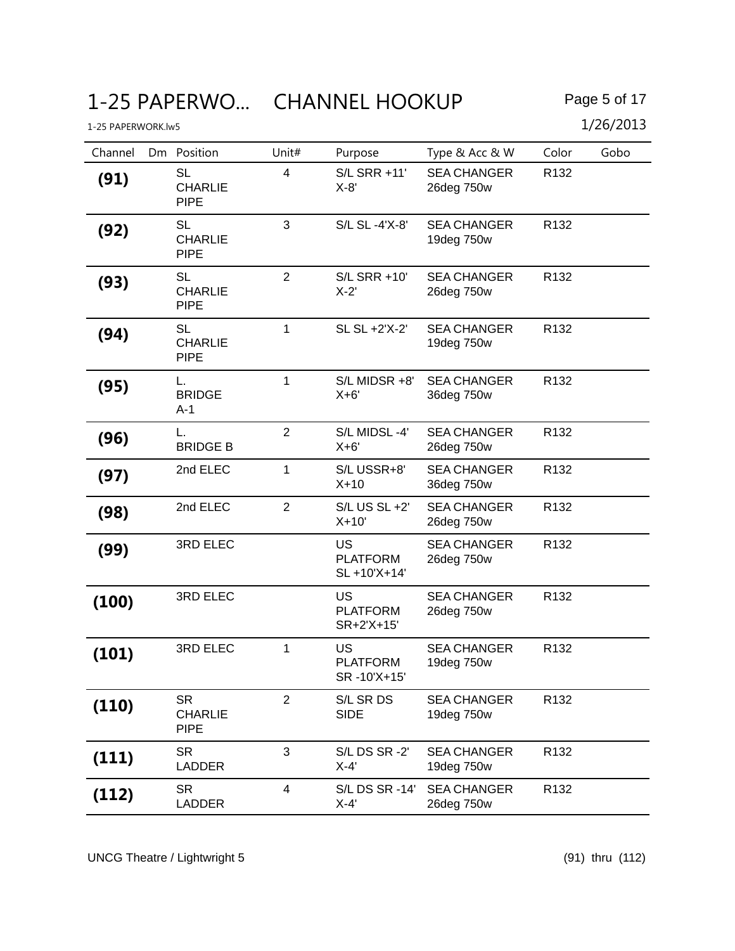# 1-25 PAPERWO... CHANNEL HOOKUP Page 5 of 17

| Channel | Dm Position                                | Unit#                   | Purpose                                     | Type & Acc & W                   | Color            | Gobo |
|---------|--------------------------------------------|-------------------------|---------------------------------------------|----------------------------------|------------------|------|
| (91)    | <b>SL</b><br><b>CHARLIE</b><br><b>PIPE</b> | $\overline{4}$          | S/L SRR +11'<br>$X-8'$                      | <b>SEA CHANGER</b><br>26deg 750w | R132             |      |
| (92)    | <b>SL</b><br><b>CHARLIE</b><br><b>PIPE</b> | 3                       | S/L SL -4'X-8'                              | <b>SEA CHANGER</b><br>19deg 750w | R <sub>132</sub> |      |
| (93)    | <b>SL</b><br><b>CHARLIE</b><br><b>PIPE</b> | $\overline{2}$          | S/L SRR +10'<br>$X-2'$                      | <b>SEA CHANGER</b><br>26deg 750w | R132             |      |
| (94)    | <b>SL</b><br><b>CHARLIE</b><br><b>PIPE</b> | 1                       | SL SL +2'X-2'                               | <b>SEA CHANGER</b><br>19deg 750w | R <sub>132</sub> |      |
| (95)    | L.<br><b>BRIDGE</b><br>$A-1$               | $\mathbf{1}$            | S/L MIDSR +8'<br>$X+6'$                     | <b>SEA CHANGER</b><br>36deg 750w | R132             |      |
| (96)    | L.<br><b>BRIDGE B</b>                      | $\overline{2}$          | S/L MIDSL-4'<br>$X+6'$                      | <b>SEA CHANGER</b><br>26deg 750w | R132             |      |
| (97)    | 2nd ELEC                                   | 1                       | S/LUSSR+8'<br>$X+10$                        | <b>SEA CHANGER</b><br>36deg 750w | R <sub>132</sub> |      |
| (98)    | 2nd ELEC                                   | $\overline{2}$          | S/L US SL +2'<br>$X+10'$                    | <b>SEA CHANGER</b><br>26deg 750w | R <sub>132</sub> |      |
| (99)    | 3RD ELEC                                   |                         | US<br><b>PLATFORM</b><br>SL +10'X+14'       | <b>SEA CHANGER</b><br>26deg 750w | R <sub>132</sub> |      |
| (100)   | 3RD ELEC                                   |                         | US<br><b>PLATFORM</b><br>SR+2'X+15'         | <b>SEA CHANGER</b><br>26deg 750w | R132             |      |
| (101)   | 3RD ELEC                                   | $\mathbf{1}$            | <b>US</b><br><b>PLATFORM</b><br>SR-10'X+15' | <b>SEA CHANGER</b><br>19deg 750w | R132             |      |
| (110)   | <b>SR</b><br><b>CHARLIE</b><br><b>PIPE</b> | $\overline{2}$          | S/L SR DS<br><b>SIDE</b>                    | <b>SEA CHANGER</b><br>19deg 750w | R132             |      |
| (111)   | <b>SR</b><br><b>LADDER</b>                 | 3                       | S/LDS SR-2'<br>$X-4'$                       | <b>SEA CHANGER</b><br>19deg 750w | R <sub>132</sub> |      |
| (112)   | <b>SR</b><br><b>LADDER</b>                 | $\overline{\mathbf{4}}$ | S/L DS SR -14'<br>$X-4'$                    | <b>SEA CHANGER</b><br>26deg 750w | R <sub>132</sub> |      |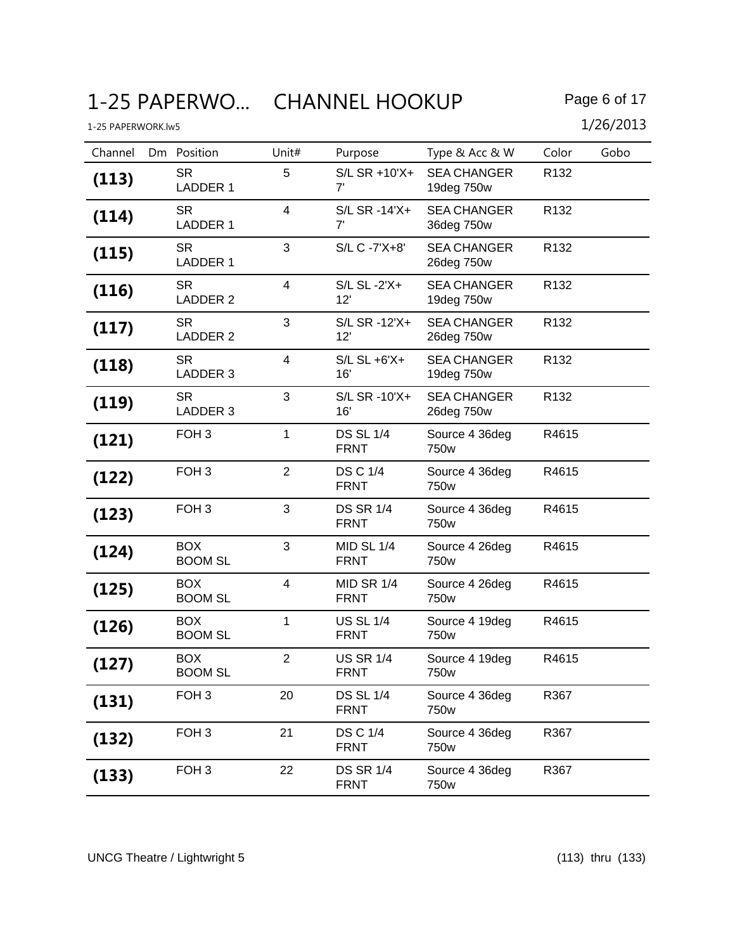| Channel | Dm Position                  | Unit#                   | Purpose                         | Type & Acc & W                   | Color            | Gobo |
|---------|------------------------------|-------------------------|---------------------------------|----------------------------------|------------------|------|
| (113)   | <b>SR</b><br><b>LADDER 1</b> | 5                       | S/L SR +10'X+<br>7'             | <b>SEA CHANGER</b><br>19deg 750w | R132             |      |
| (114)   | <b>SR</b><br><b>LADDER 1</b> | $\overline{\mathbf{4}}$ | S/L SR -14'X+<br>7'             | <b>SEA CHANGER</b><br>36deg 750w | R <sub>132</sub> |      |
| (115)   | <b>SR</b><br><b>LADDER 1</b> | 3                       | S/L C -7'X+8'                   | <b>SEA CHANGER</b><br>26deg 750w | R <sub>132</sub> |      |
| (116)   | <b>SR</b><br>LADDER 2        | $\overline{4}$          | S/L SL -2'X+<br>12'             | <b>SEA CHANGER</b><br>19deg 750w | R132             |      |
| (117)   | <b>SR</b><br>LADDER 2        | 3                       | S/L SR -12'X+<br>12'            | <b>SEA CHANGER</b><br>26deg 750w | R <sub>132</sub> |      |
| (118)   | <b>SR</b><br>LADDER 3        | $\overline{4}$          | $S/L$ $SL + 6'X +$<br>16'       | <b>SEA CHANGER</b><br>19deg 750w | R132             |      |
| (119)   | <b>SR</b><br>LADDER 3        | 3                       | S/L SR -10'X+<br>16'            | <b>SEA CHANGER</b><br>26deg 750w | R <sub>132</sub> |      |
| (121)   | FOH <sub>3</sub>             | 1                       | <b>DS SL 1/4</b><br><b>FRNT</b> | Source 4 36deg<br>750w           | R4615            |      |
| (122)   | FOH <sub>3</sub>             | $\overline{2}$          | <b>DS C 1/4</b><br><b>FRNT</b>  | Source 4 36deg<br>750w           | R4615            |      |
| (123)   | FOH <sub>3</sub>             | 3                       | <b>DS SR 1/4</b><br><b>FRNT</b> | Source 4 36deg<br>750w           | R4615            |      |
| (124)   | <b>BOX</b><br><b>BOOM SL</b> | 3                       | MID SL 1/4<br><b>FRNT</b>       | Source 4 26deg<br>750w           | R4615            |      |
| (125)   | <b>BOX</b><br><b>BOOM SL</b> | 4                       | MID SR 1/4<br><b>FRNT</b>       | Source 4 26deg<br>750w           | R4615            |      |
| (126)   | <b>BOX</b><br><b>BOOM SL</b> | 1                       | <b>US SL 1/4</b><br><b>FRNT</b> | Source 4 19deg<br>750w           | R4615            |      |
| (127)   | <b>BOX</b><br><b>BOOM SL</b> | $\overline{2}$          | <b>US SR 1/4</b><br>FRNT        | Source 4 19deg<br>750w           | R4615            |      |
| (131)   | FOH <sub>3</sub>             | 20                      | <b>DS SL 1/4</b><br><b>FRNT</b> | Source 4 36deg<br>750w           | R367             |      |
| (132)   | FOH <sub>3</sub>             | 21                      | <b>DS C 1/4</b><br><b>FRNT</b>  | Source 4 36deg<br>750w           | R367             |      |
| (133)   | FOH <sub>3</sub>             | 22                      | <b>DS SR 1/4</b><br><b>FRNT</b> | Source 4 36deg<br>750w           | R367             |      |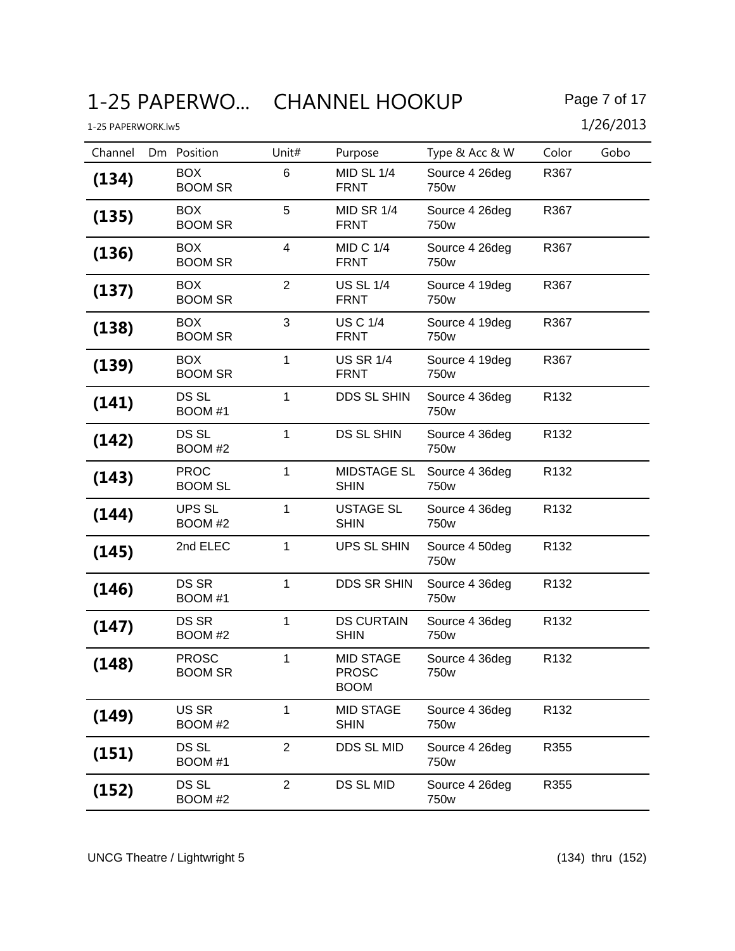# 1-25 PAPERWO... CHANNEL HOOKUP Page 7 of 17

| Channel | Dm Position                    | Unit#                   | Purpose                                         | Type & Acc & W         | Color            | Gobo |
|---------|--------------------------------|-------------------------|-------------------------------------------------|------------------------|------------------|------|
| (134)   | <b>BOX</b><br><b>BOOM SR</b>   | 6                       | <b>MID SL 1/4</b><br><b>FRNT</b>                | Source 4 26deg<br>750w | R367             |      |
| (135)   | <b>BOX</b><br><b>BOOM SR</b>   | 5                       | MID SR 1/4<br><b>FRNT</b>                       | Source 4 26deg<br>750w | R367             |      |
| (136)   | <b>BOX</b><br><b>BOOM SR</b>   | $\overline{\mathbf{4}}$ | <b>MID C 1/4</b><br><b>FRNT</b>                 | Source 4 26deg<br>750w | R367             |      |
| (137)   | <b>BOX</b><br><b>BOOM SR</b>   | $\overline{2}$          | <b>US SL 1/4</b><br><b>FRNT</b>                 | Source 4 19deg<br>750w | R367             |      |
| (138)   | <b>BOX</b><br><b>BOOM SR</b>   | 3                       | <b>US C 1/4</b><br><b>FRNT</b>                  | Source 4 19deg<br>750w | R367             |      |
| (139)   | <b>BOX</b><br><b>BOOM SR</b>   | 1                       | <b>US SR 1/4</b><br><b>FRNT</b>                 | Source 4 19deg<br>750w | R367             |      |
| (141)   | <b>DS SL</b><br>BOOM #1        | 1                       | <b>DDS SL SHIN</b>                              | Source 4 36deg<br>750w | R <sub>132</sub> |      |
| (142)   | DS SL<br>BOOM #2               | $\mathbf{1}$            | <b>DS SL SHIN</b>                               | Source 4 36deg<br>750w | R132             |      |
| (143)   | <b>PROC</b><br><b>BOOM SL</b>  | $\mathbf{1}$            | MIDSTAGE SL<br><b>SHIN</b>                      | Source 4 36deg<br>750w | R <sub>132</sub> |      |
| (144)   | UPS SL<br>BOOM #2              | 1                       | <b>USTAGE SL</b><br><b>SHIN</b>                 | Source 4 36deg<br>750w | R <sub>132</sub> |      |
| (145)   | 2nd ELEC                       | $\mathbf{1}$            | UPS SL SHIN                                     | Source 4 50deg<br>750w | R <sub>132</sub> |      |
| (146)   | DS SR<br>BOOM #1               | 1                       | <b>DDS SR SHIN</b>                              | Source 4 36deg<br>750w | R <sub>132</sub> |      |
| (147)   | DS SR<br>BOOM #2               | 1                       | <b>DS CURTAIN</b><br><b>SHIN</b>                | Source 4 36deg<br>750w | R <sub>132</sub> |      |
| (148)   | <b>PROSC</b><br><b>BOOM SR</b> | 1                       | <b>MID STAGE</b><br><b>PROSC</b><br><b>BOOM</b> | Source 4 36deg<br>750w | R132             |      |
| (149)   | US SR<br>BOOM #2               | 1                       | <b>MID STAGE</b><br><b>SHIN</b>                 | Source 4 36deg<br>750w | R132             |      |
| (151)   | DS SL<br>BOOM #1               | $\overline{2}$          | DDS SL MID                                      | Source 4 26deg<br>750w | R355             |      |
| (152)   | DS SL<br>BOOM #2               | $\overline{2}$          | DS SL MID                                       | Source 4 26deg<br>750w | R355             |      |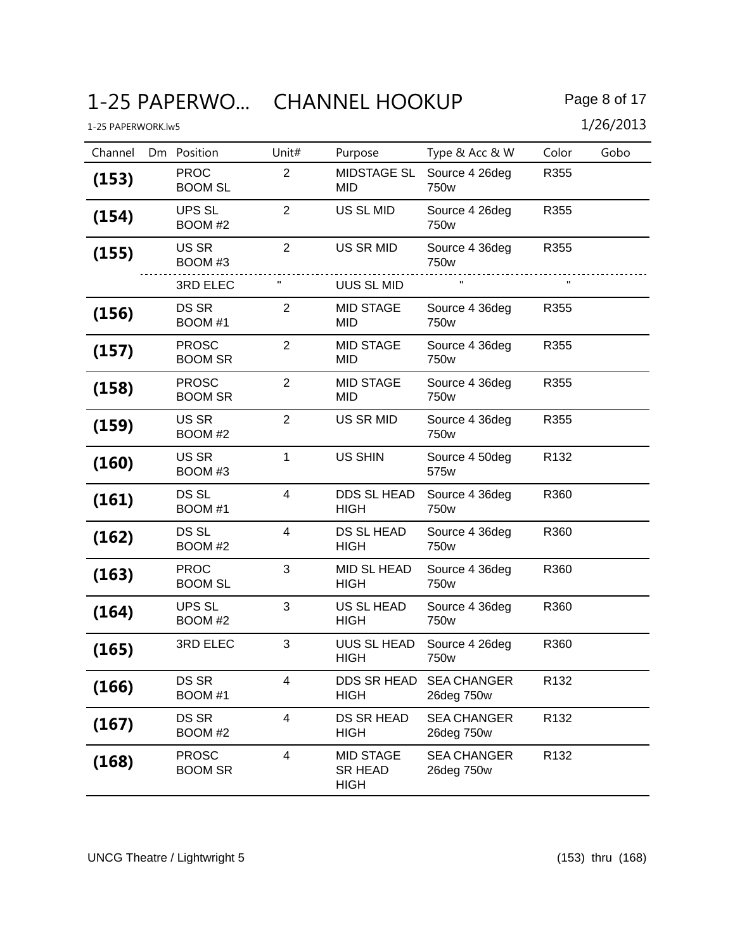# 1-25 PAPERWO... CHANNEL HOOKUP Page 8 of 17

| Channel | Dm Position                    | Unit#                   | Purpose                                           | Type & Acc & W                     | Color            | Gobo |
|---------|--------------------------------|-------------------------|---------------------------------------------------|------------------------------------|------------------|------|
| (153)   | <b>PROC</b><br><b>BOOM SL</b>  | 2                       | <b>MIDSTAGE SL</b><br>MID                         | Source 4 26deg<br>750w             | R355             |      |
| (154)   | <b>UPS SL</b><br>BOOM #2       | 2                       | US SL MID                                         | Source 4 26deg<br>750 <sub>w</sub> | R355             |      |
| (155)   | US SR<br>BOOM #3               | $\overline{2}$          | US SR MID                                         | Source 4 36deg<br>750w             | R355             |      |
|         | 3RD ELEC                       |                         | <b>UUS SL MID</b>                                 |                                    | $\mathbf{H}$     |      |
| (156)   | DS SR<br>BOOM #1               | $\overline{2}$          | <b>MID STAGE</b><br>MID                           | Source 4 36deg<br>750w             | R355             |      |
| (157)   | <b>PROSC</b><br><b>BOOM SR</b> | $\overline{2}$          | <b>MID STAGE</b><br>MID                           | Source 4 36deg<br>750w             | R355             |      |
| (158)   | <b>PROSC</b><br><b>BOOM SR</b> | $\overline{2}$          | <b>MID STAGE</b><br>MID                           | Source 4 36deg<br>750w             | R355             |      |
| (159)   | US SR<br>BOOM #2               | 2                       | <b>US SR MID</b>                                  | Source 4 36deg<br>750w             | R355             |      |
| (160)   | US SR<br>BOOM #3               | $\mathbf{1}$            | <b>US SHIN</b>                                    | Source 4 50deg<br>575w             | R <sub>132</sub> |      |
| (161)   | DS SL<br>BOOM #1               | $\overline{\mathbf{4}}$ | DDS SL HEAD<br><b>HIGH</b>                        | Source 4 36deg<br>750w             | R360             |      |
| (162)   | DS SL<br>BOOM #2               | $\overline{4}$          | DS SL HEAD<br><b>HIGH</b>                         | Source 4 36deg<br>750w             | R360             |      |
| (163)   | <b>PROC</b><br><b>BOOM SL</b>  | 3                       | MID SL HEAD<br><b>HIGH</b>                        | Source 4 36deg<br>750w             | R360             |      |
| (164)   | <b>UPS SL</b><br>BOOM #2       | 3                       | US SL HEAD<br><b>HIGH</b>                         | Source 4 36deg<br>750w             | R360             |      |
| (165)   | 3RD ELEC                       | 3                       | UUS SL HEAD<br><b>HIGH</b>                        | Source 4 26deg<br>750w             | R360             |      |
| (166)   | <b>DS SR</b><br>BOOM #1        | 4                       | DDS SR HEAD<br><b>HIGH</b>                        | <b>SEA CHANGER</b><br>26deg 750w   | R132             |      |
| (167)   | <b>DS SR</b><br>BOOM #2        | $\overline{4}$          | DS SR HEAD<br><b>HIGH</b>                         | <b>SEA CHANGER</b><br>26deg 750w   | R132             |      |
| (168)   | <b>PROSC</b><br><b>BOOM SR</b> | $\overline{4}$          | <b>MID STAGE</b><br><b>SR HEAD</b><br><b>HIGH</b> | <b>SEA CHANGER</b><br>26deg 750w   | R132             |      |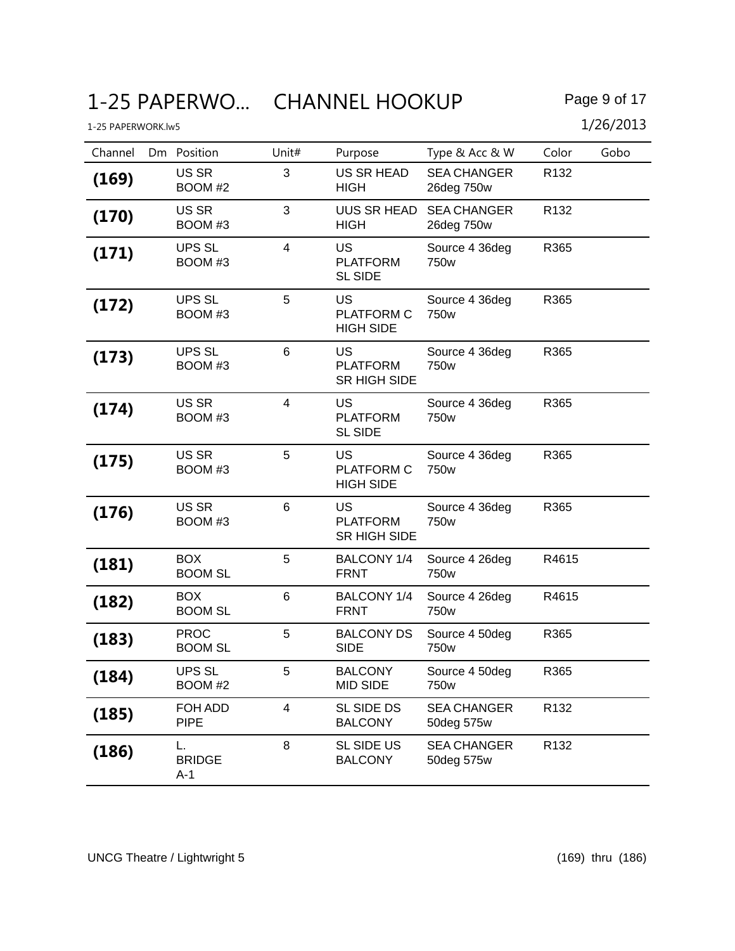# 1-25 PAPERWO... CHANNEL HOOKUP Page 9 of 17

| Channel | Dm Position                   | Unit#           | Purpose                                      | Type & Acc & W                     | Color            | Gobo |
|---------|-------------------------------|-----------------|----------------------------------------------|------------------------------------|------------------|------|
| (169)   | US SR<br>BOOM #2              | 3               | <b>US SR HEAD</b><br><b>HIGH</b>             | <b>SEA CHANGER</b><br>26deg 750w   | R <sub>132</sub> |      |
| (170)   | US SR<br>BOOM #3              | 3               | UUS SR HEAD<br><b>HIGH</b>                   | <b>SEA CHANGER</b><br>26deg 750w   | R <sub>132</sub> |      |
| (171)   | UPS SL<br>BOOM #3             | 4               | US<br><b>PLATFORM</b><br><b>SL SIDE</b>      | Source 4 36deg<br>750w             | R365             |      |
| (172)   | <b>UPS SL</b><br>BOOM #3      | 5               | <b>US</b><br>PLATFORM C<br><b>HIGH SIDE</b>  | Source 4 36deg<br>750w             | R365             |      |
| (173)   | <b>UPS SL</b><br>BOOM #3      | $6\phantom{1}6$ | <b>US</b><br><b>PLATFORM</b><br>SR HIGH SIDE | Source 4 36deg<br>750w             | R365             |      |
| (174)   | US SR<br>BOOM #3              | $\overline{4}$  | US<br><b>PLATFORM</b><br><b>SL SIDE</b>      | Source 4 36deg<br>750w             | R365             |      |
| (175)   | US SR<br>BOOM #3              | 5               | <b>US</b><br>PLATFORM C<br><b>HIGH SIDE</b>  | Source 4 36deg<br>750 <sub>w</sub> | R365             |      |
| (176)   | US SR<br>BOOM #3              | 6               | US<br><b>PLATFORM</b><br>SR HIGH SIDE        | Source 4 36deg<br>750w             | R365             |      |
| (181)   | <b>BOX</b><br><b>BOOM SL</b>  | 5               | <b>BALCONY 1/4</b><br><b>FRNT</b>            | Source 4 26deg<br>750w             | R4615            |      |
| (182)   | <b>BOX</b><br><b>BOOM SL</b>  | 6               | BALCONY 1/4<br><b>FRNT</b>                   | Source 4 26deg<br>750w             | R4615            |      |
| (183)   | <b>PROC</b><br><b>BOOM SL</b> | 5               | <b>BALCONY DS</b><br><b>SIDE</b>             | Source 4 50deg<br>750w             | R365             |      |
| (184)   | <b>UPS SL</b><br>BOOM #2      | 5               | <b>BALCONY</b><br><b>MID SIDE</b>            | Source 4 50deg<br>750w             | R365             |      |
| (185)   | FOH ADD<br><b>PIPE</b>        | 4               | SL SIDE DS<br><b>BALCONY</b>                 | <b>SEA CHANGER</b><br>50deg 575w   | R132             |      |
| (186)   | L.<br><b>BRIDGE</b><br>A-1    | 8               | SL SIDE US<br><b>BALCONY</b>                 | <b>SEA CHANGER</b><br>50deg 575w   | R132             |      |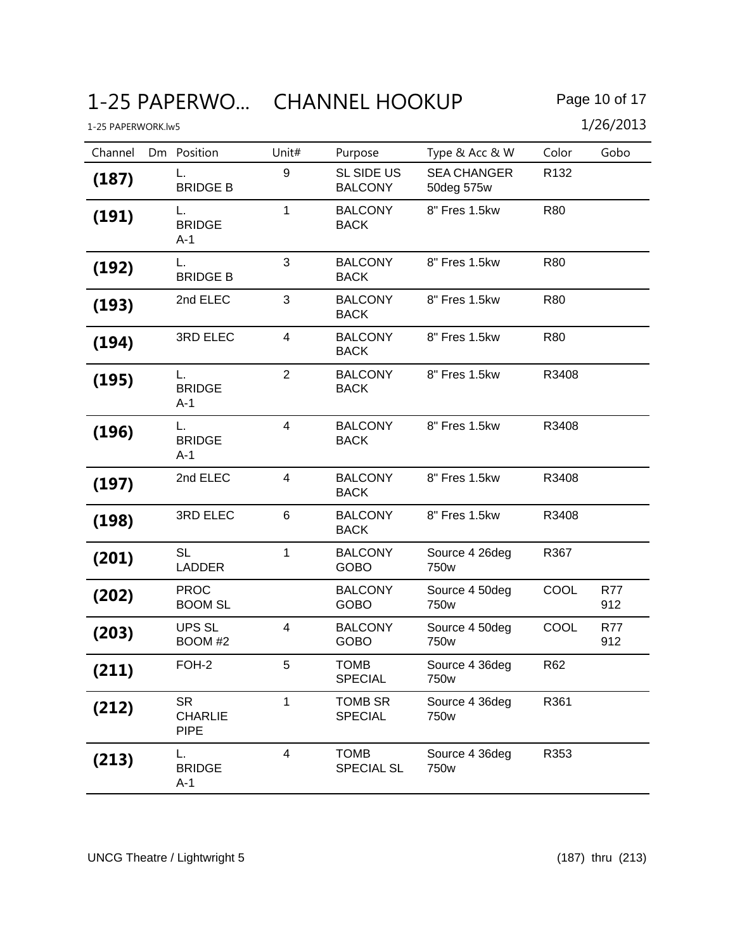# 1-25 PAPERWO... CHANNEL HOOKUP Page 10 of 17

| 1-25 PAPERWORK.lw5 |                                            |                         |                                  |                                  |                  | 1/26/2013         |
|--------------------|--------------------------------------------|-------------------------|----------------------------------|----------------------------------|------------------|-------------------|
| Channel            | Dm Position                                | Unit#                   | Purpose                          | Type & Acc & W                   | Color            | Gobo              |
| (187)              | L.<br><b>BRIDGE B</b>                      | 9                       | SL SIDE US<br><b>BALCONY</b>     | <b>SEA CHANGER</b><br>50deg 575w | R <sub>132</sub> |                   |
| (191)              | L.<br><b>BRIDGE</b><br>$A-1$               | $\mathbf{1}$            | <b>BALCONY</b><br><b>BACK</b>    | 8" Fres 1.5kw                    | <b>R80</b>       |                   |
| (192)              | L.<br><b>BRIDGE B</b>                      | 3                       | <b>BALCONY</b><br><b>BACK</b>    | 8" Fres 1.5kw                    | R80              |                   |
| (193)              | 2nd ELEC                                   | 3                       | <b>BALCONY</b><br><b>BACK</b>    | 8" Fres 1.5kw                    | <b>R80</b>       |                   |
| (194)              | 3RD ELEC                                   | $\overline{\mathbf{4}}$ | <b>BALCONY</b><br><b>BACK</b>    | 8" Fres 1.5kw                    | R80              |                   |
| (195)              | L.<br><b>BRIDGE</b><br>$A-1$               | $\overline{2}$          | <b>BALCONY</b><br><b>BACK</b>    | 8" Fres 1.5kw                    | R3408            |                   |
| (196)              | L.<br><b>BRIDGE</b><br>A-1                 | $\overline{4}$          | <b>BALCONY</b><br><b>BACK</b>    | 8" Fres 1.5kw                    | R3408            |                   |
| (197)              | 2nd ELEC                                   | 4                       | <b>BALCONY</b><br><b>BACK</b>    | 8" Fres 1.5kw                    | R3408            |                   |
| (198)              | 3RD ELEC                                   | $6\phantom{1}6$         | <b>BALCONY</b><br><b>BACK</b>    | 8" Fres 1.5kw                    | R3408            |                   |
| (201)              | <b>SL</b><br><b>LADDER</b>                 | $\mathbf{1}$            | <b>BALCONY</b><br><b>GOBO</b>    | Source 4 26deg<br>750w           | R367             |                   |
| (202)              | <b>PROC</b><br><b>BOOM SL</b>              |                         | <b>BALCONY</b><br><b>GOBO</b>    | Source 4 50deg<br>750w           | COOL             | <b>R77</b><br>912 |
| (203)              | <b>UPS SL</b><br>BOOM #2                   | $\overline{\mathbf{4}}$ | <b>BALCONY</b><br><b>GOBO</b>    | Source 4 50deg<br>750w           | COOL             | <b>R77</b><br>912 |
| (211)              | FOH-2                                      | 5                       | <b>TOMB</b><br><b>SPECIAL</b>    | Source 4 36deg<br>750w           | R62              |                   |
| (212)              | <b>SR</b><br><b>CHARLIE</b><br><b>PIPE</b> | $\mathbf{1}$            | TOMB SR<br><b>SPECIAL</b>        | Source 4 36deg<br>750w           | R361             |                   |
| (213)              | L.<br><b>BRIDGE</b><br>$A-1$               | $\overline{\mathbf{4}}$ | <b>TOMB</b><br><b>SPECIAL SL</b> | Source 4 36deg<br>750w           | R353             |                   |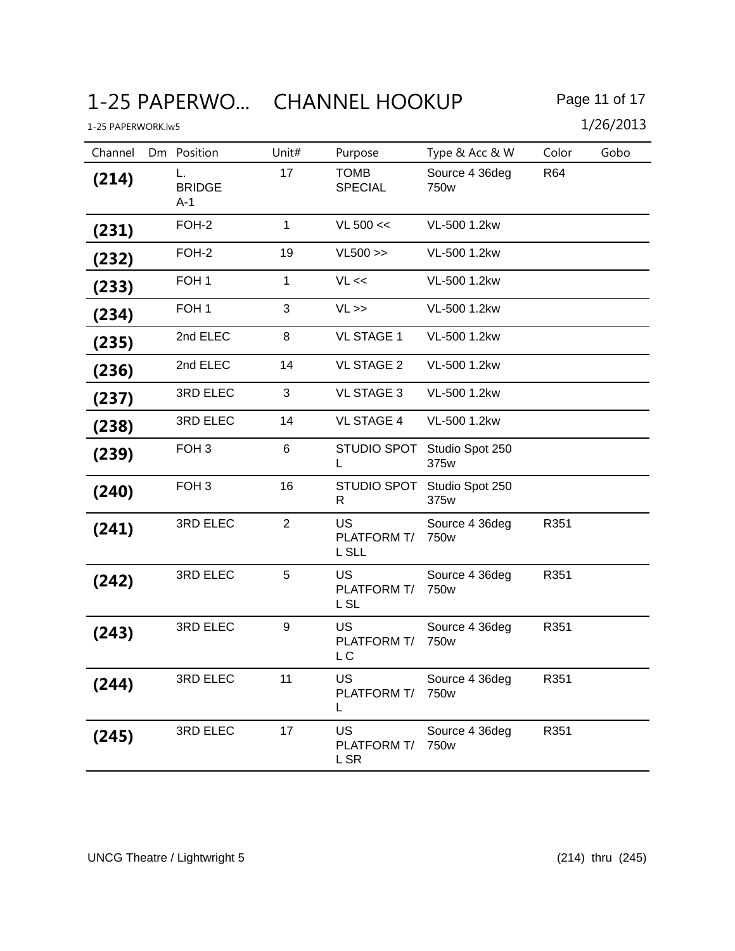| Channel | Dm Position                | Unit#          | Purpose                           | Type & Acc & W                     | Color | Gobo |
|---------|----------------------------|----------------|-----------------------------------|------------------------------------|-------|------|
| (214)   | L.<br><b>BRIDGE</b><br>A-1 | 17             | <b>TOMB</b><br><b>SPECIAL</b>     | Source 4 36deg<br>750w             | R64   |      |
| (231)   | FOH-2                      | 1              | VL 500 <                          | VL-500 1.2kw                       |       |      |
| (232)   | FOH-2                      | 19             | $VL500 \gg$                       | VL-500 1.2kw                       |       |      |
| (233)   | FOH <sub>1</sub>           | 1              | VL <                              | VL-500 1.2kw                       |       |      |
| (234)   | FOH <sub>1</sub>           | 3              | $VL \gg$                          | VL-500 1.2kw                       |       |      |
| (235)   | 2nd ELEC                   | 8              | <b>VL STAGE 1</b>                 | VL-500 1.2kw                       |       |      |
| (236)   | 2nd ELEC                   | 14             | <b>VL STAGE 2</b>                 | VL-500 1.2kw                       |       |      |
| (237)   | 3RD ELEC                   | 3              | <b>VL STAGE 3</b>                 | VL-500 1.2kw                       |       |      |
| (238)   | 3RD ELEC                   | 14             | <b>VL STAGE 4</b>                 | VL-500 1.2kw                       |       |      |
| (239)   | FOH <sub>3</sub>           | 6              | <b>STUDIO SPOT</b><br>L           | Studio Spot 250<br>375w            |       |      |
| (240)   | FOH <sub>3</sub>           | 16             | STUDIO SPOT<br>R                  | Studio Spot 250<br>375w            |       |      |
| (241)   | 3RD ELEC                   | $\overline{2}$ | <b>US</b><br>PLATFORM T/<br>L SLL | Source 4 36deg<br>750 <sub>w</sub> | R351  |      |
| (242)   | 3RD ELEC                   | 5              | <b>US</b><br>PLATFORM T/<br>L SL  | Source 4 36deg<br>750w             | R351  |      |
| (243)   | 3RD ELEC                   | 9              | <b>US</b><br>PLATFORM T/<br>L C   | Source 4 36deg<br>750w             | R351  |      |
| (244)   | 3RD ELEC                   | 11             | US<br>PLATFORM T/<br>L            | Source 4 36deg<br>750 <sub>w</sub> | R351  |      |
| (245)   | 3RD ELEC                   | 17             | US<br>PLATFORM T/<br>L SR         | Source 4 36deg<br>750w             | R351  |      |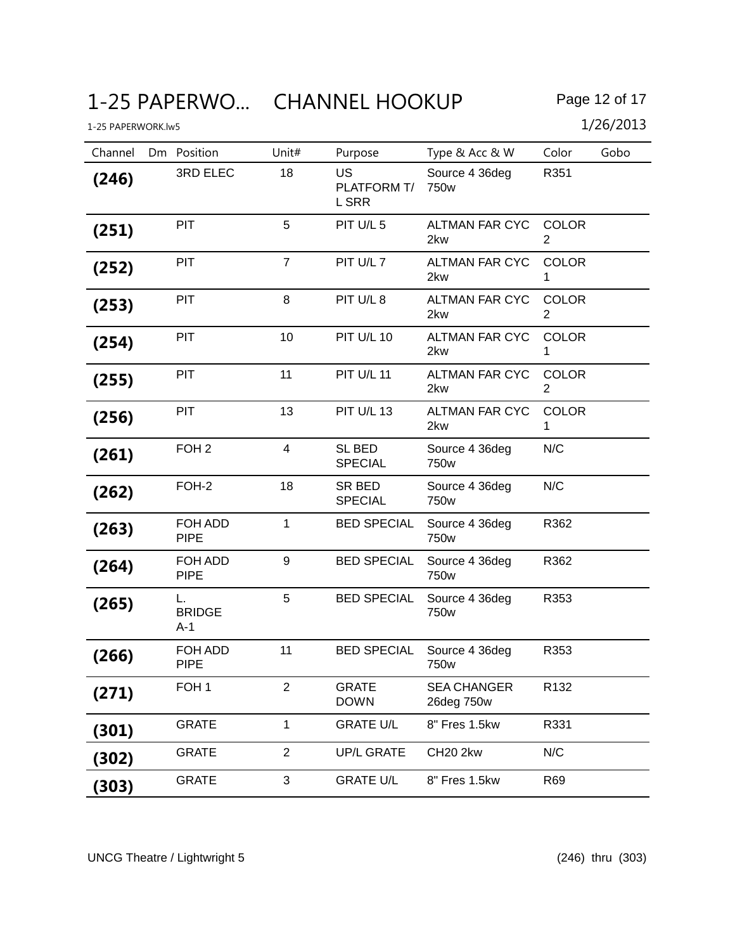| Channel | Dm Position                | Unit#          | Purpose                           | Type & Acc & W                     | Color                          | Gobo |
|---------|----------------------------|----------------|-----------------------------------|------------------------------------|--------------------------------|------|
| (246)   | 3RD ELEC                   | 18             | <b>US</b><br>PLATFORM T/<br>L SRR | Source 4 36deg<br>750w             | R351                           |      |
| (251)   | <b>PIT</b>                 | 5              | PIT U/L 5                         | <b>ALTMAN FAR CYC</b><br>2kw       | <b>COLOR</b><br>2              |      |
| (252)   | PIT                        | $\overline{7}$ | PIT U/L 7                         | <b>ALTMAN FAR CYC</b><br>2kw       | <b>COLOR</b><br>1              |      |
| (253)   | PIT                        | 8              | PIT U/L 8                         | <b>ALTMAN FAR CYC</b><br>2kw       | <b>COLOR</b><br>$\overline{2}$ |      |
| (254)   | PIT                        | 10             | <b>PIT U/L 10</b>                 | <b>ALTMAN FAR CYC</b><br>2kw       | <b>COLOR</b><br>1              |      |
| (255)   | PIT                        | 11             | <b>PIT U/L 11</b>                 | ALTMAN FAR CYC<br>2kw              | <b>COLOR</b><br>2              |      |
| (256)   | PIT                        | 13             | <b>PIT U/L 13</b>                 | <b>ALTMAN FAR CYC</b><br>2kw       | <b>COLOR</b><br>1              |      |
| (261)   | FOH <sub>2</sub>           | 4              | SL BED<br><b>SPECIAL</b>          | Source 4 36deg<br>750w             | N/C                            |      |
| (262)   | FOH-2                      | 18             | SR BED<br><b>SPECIAL</b>          | Source 4 36deg<br>750 <sub>w</sub> | N/C                            |      |
| (263)   | FOH ADD<br><b>PIPE</b>     | $\mathbf{1}$   | <b>BED SPECIAL</b>                | Source 4 36deg<br>750w             | R362                           |      |
| (264)   | FOH ADD<br><b>PIPE</b>     | 9              | <b>BED SPECIAL</b>                | Source 4 36deg<br>750w             | R362                           |      |
| (265)   | L.<br><b>BRIDGE</b><br>A-1 | 5              | <b>BED SPECIAL</b>                | Source 4 36deg<br>750w             | R353                           |      |
| (266)   | FOH ADD<br><b>PIPE</b>     | 11             | <b>BED SPECIAL</b>                | Source 4 36deg<br>750w             | R353                           |      |
| (271)   | FOH <sub>1</sub>           | 2              | <b>GRATE</b><br><b>DOWN</b>       | <b>SEA CHANGER</b><br>26deg 750w   | R <sub>132</sub>               |      |
| (301)   | <b>GRATE</b>               | $\mathbf{1}$   | <b>GRATE U/L</b>                  | 8" Fres 1.5kw                      | R331                           |      |
| (302)   | <b>GRATE</b>               | $\overline{2}$ | <b>UP/L GRATE</b>                 | CH20 2kw                           | N/C                            |      |
| (303)   | <b>GRATE</b>               | 3              | <b>GRATE U/L</b>                  | 8" Fres 1.5kw                      | R69                            |      |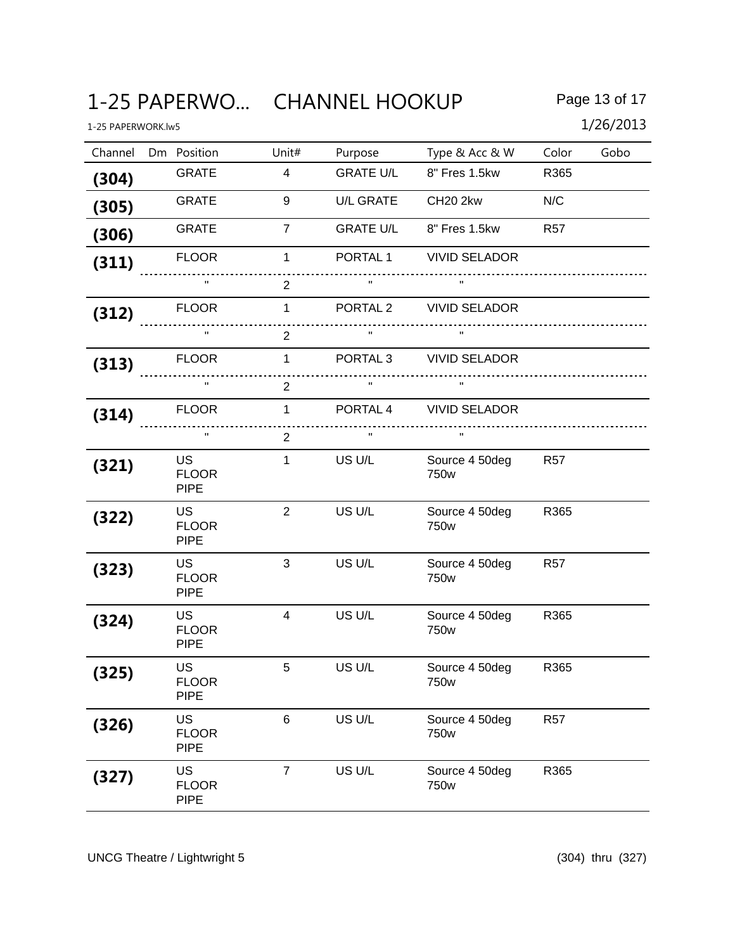# 1-25 PAPERWO... CHANNEL HOOKUP Page 13 of 17

| 1-25 PAPERWORK.lw5 |                                          |                |                     |                        |                 | 1/26/2013 |
|--------------------|------------------------------------------|----------------|---------------------|------------------------|-----------------|-----------|
| Channel            | Dm Position                              | Unit#          | Purpose             | Type & Acc & W         | Color           | Gobo      |
| (304)              | <b>GRATE</b>                             | $\overline{4}$ | <b>GRATE U/L</b>    | 8" Fres 1.5kw          | R365            |           |
| (305)              | <b>GRATE</b>                             | 9              | <b>U/L GRATE</b>    | <b>CH20 2kw</b>        | N/C             |           |
| (306)              | <b>GRATE</b>                             | $\overline{7}$ | <b>GRATE U/L</b>    | 8" Fres 1.5kw          | <b>R57</b>      |           |
| (311)              | <b>FLOOR</b>                             | $\mathbf 1$    | PORTAL <sub>1</sub> | <b>VIVID SELADOR</b>   |                 |           |
|                    | $\mathbf{H}$                             | 2              |                     |                        |                 |           |
| (312)              | <b>FLOOR</b>                             | $\mathbf{1}$   | PORTAL <sub>2</sub> | <b>VIVID SELADOR</b>   |                 |           |
|                    | $\mathbf{H}$                             | $\overline{2}$ |                     |                        |                 |           |
| (313)              | <b>FLOOR</b>                             | $\mathbf{1}$   | PORTAL <sub>3</sub> | <b>VIVID SELADOR</b>   |                 |           |
|                    | $\mathbf H$                              | $\overline{2}$ |                     |                        |                 |           |
| (314)              | <b>FLOOR</b>                             | $\mathbf{1}$   | PORTAL 4            | <b>VIVID SELADOR</b>   |                 |           |
|                    | $\mathbf H$                              | $\overline{2}$ | $\mathbf{H}$        | $\mathbf{H}$           |                 |           |
| (321)              | <b>US</b><br><b>FLOOR</b><br><b>PIPE</b> | $\mathbf{1}$   | US U/L              | Source 4 50deg<br>750w | <b>R57</b>      |           |
| (322)              | <b>US</b><br><b>FLOOR</b><br><b>PIPE</b> | $\overline{2}$ | US U/L              | Source 4 50deg<br>750w | R365            |           |
| (323)              | <b>US</b><br><b>FLOOR</b><br><b>PIPE</b> | 3              | US U/L              | Source 4 50deg<br>750w | <b>R57</b>      |           |
| (324)              | <b>US</b><br><b>FLOOR</b><br><b>PIPE</b> | $\overline{4}$ | US U/L              | Source 4 50deg<br>750w | R365            |           |
| (325)              | US<br><b>FLOOR</b><br><b>PIPE</b>        | 5              | US U/L              | Source 4 50deg<br>750w | R365            |           |
| (326)              | <b>US</b><br><b>FLOOR</b><br><b>PIPE</b> | 6              | US U/L              | Source 4 50deg<br>750w | R <sub>57</sub> |           |
| (327)              | <b>US</b><br><b>FLOOR</b><br><b>PIPE</b> | $\overline{7}$ | US U/L              | Source 4 50deg<br>750w | R365            |           |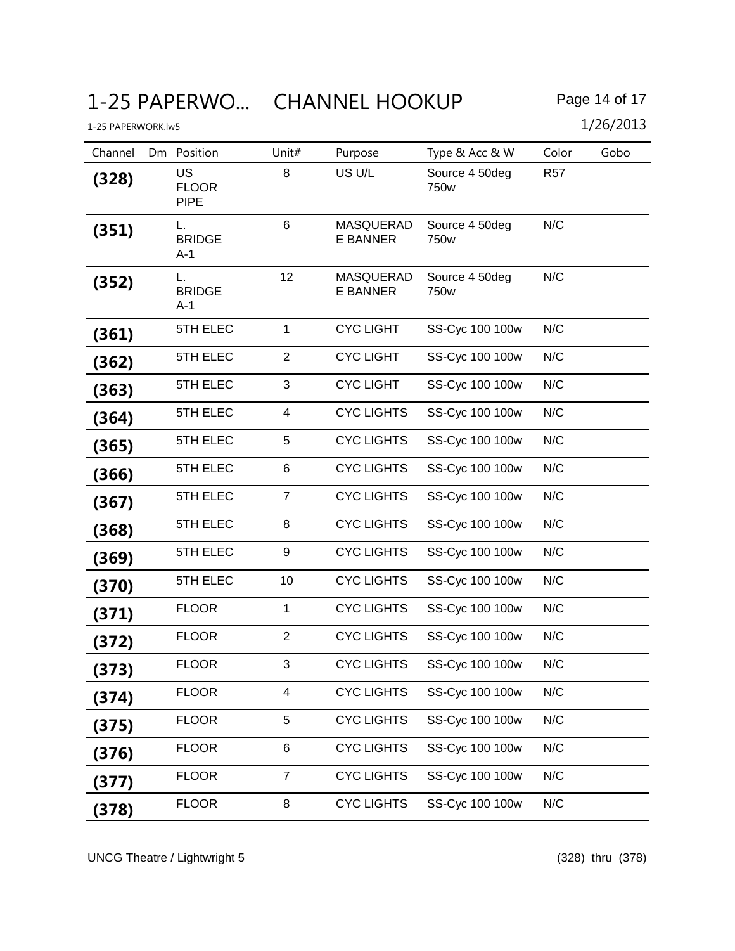1-25 PAPERWORK.lw5 1/26/2013

| Channel | Position<br>Dm                           | Unit#          | Purpose                             | Type & Acc & W                     | Color      | Gobo |
|---------|------------------------------------------|----------------|-------------------------------------|------------------------------------|------------|------|
| (328)   | <b>US</b><br><b>FLOOR</b><br><b>PIPE</b> | 8              | US U/L                              | Source 4 50deg<br>750w             | <b>R57</b> |      |
| (351)   | L.<br><b>BRIDGE</b><br>$A-1$             | 6              | <b>MASQUERAD</b><br><b>E BANNER</b> | Source 4 50deg<br>750 <sub>w</sub> | N/C        |      |
| (352)   | L.<br><b>BRIDGE</b><br>A-1               | 12             | <b>MASQUERAD</b><br><b>E BANNER</b> | Source 4 50deg<br>750 <sub>w</sub> | N/C        |      |
| (361)   | 5TH ELEC                                 | $\mathbf{1}$   | <b>CYC LIGHT</b>                    | SS-Cyc 100 100w                    | N/C        |      |
| (362)   | 5TH ELEC                                 | $\overline{2}$ | <b>CYC LIGHT</b>                    | SS-Cyc 100 100w                    | N/C        |      |
| (363)   | 5TH ELEC                                 | 3              | <b>CYC LIGHT</b>                    | SS-Cyc 100 100w                    | N/C        |      |
| (364)   | 5TH ELEC                                 | 4              | <b>CYC LIGHTS</b>                   | SS-Cyc 100 100w                    | N/C        |      |
| (365)   | 5TH ELEC                                 | 5              | <b>CYC LIGHTS</b>                   | SS-Cyc 100 100w                    | N/C        |      |
| (366)   | 5TH ELEC                                 | 6              | <b>CYC LIGHTS</b>                   | SS-Cyc 100 100w                    | N/C        |      |
| (367)   | 5TH ELEC                                 | $\overline{7}$ | <b>CYC LIGHTS</b>                   | SS-Cyc 100 100w                    | N/C        |      |
| (368)   | 5TH ELEC                                 | 8              | <b>CYC LIGHTS</b>                   | SS-Cyc 100 100w                    | N/C        |      |
| (369)   | 5TH ELEC                                 | 9              | <b>CYC LIGHTS</b>                   | SS-Cyc 100 100w                    | N/C        |      |
| (370)   | 5TH ELEC                                 | 10             | <b>CYC LIGHTS</b>                   | SS-Cyc 100 100w                    | N/C        |      |
| (371)   | <b>FLOOR</b>                             | 1              | <b>CYC LIGHTS</b>                   | SS-Cyc 100 100w                    | N/C        |      |
| (372)   | <b>FLOOR</b>                             | $\overline{2}$ | <b>CYC LIGHTS</b>                   | SS-Cyc 100 100w                    | N/C        |      |
| (373)   | <b>FLOOR</b>                             | 3              | <b>CYC LIGHTS</b>                   | SS-Cyc 100 100w                    | N/C        |      |
| (374)   | <b>FLOOR</b>                             | 4              | <b>CYC LIGHTS</b>                   | SS-Cyc 100 100w                    | N/C        |      |
| (375)   | <b>FLOOR</b>                             | 5              | <b>CYC LIGHTS</b>                   | SS-Cyc 100 100w                    | N/C        |      |
| (376)   | <b>FLOOR</b>                             | 6              | <b>CYC LIGHTS</b>                   | SS-Cyc 100 100w                    | N/C        |      |
| (377)   | <b>FLOOR</b>                             | $\overline{7}$ | <b>CYC LIGHTS</b>                   | SS-Cyc 100 100w                    | N/C        |      |
| (378)   | <b>FLOOR</b>                             | 8              | <b>CYC LIGHTS</b>                   | SS-Cyc 100 100w                    | N/C        |      |

UNCG Theatre / Lightwright 5 (328) thru (378)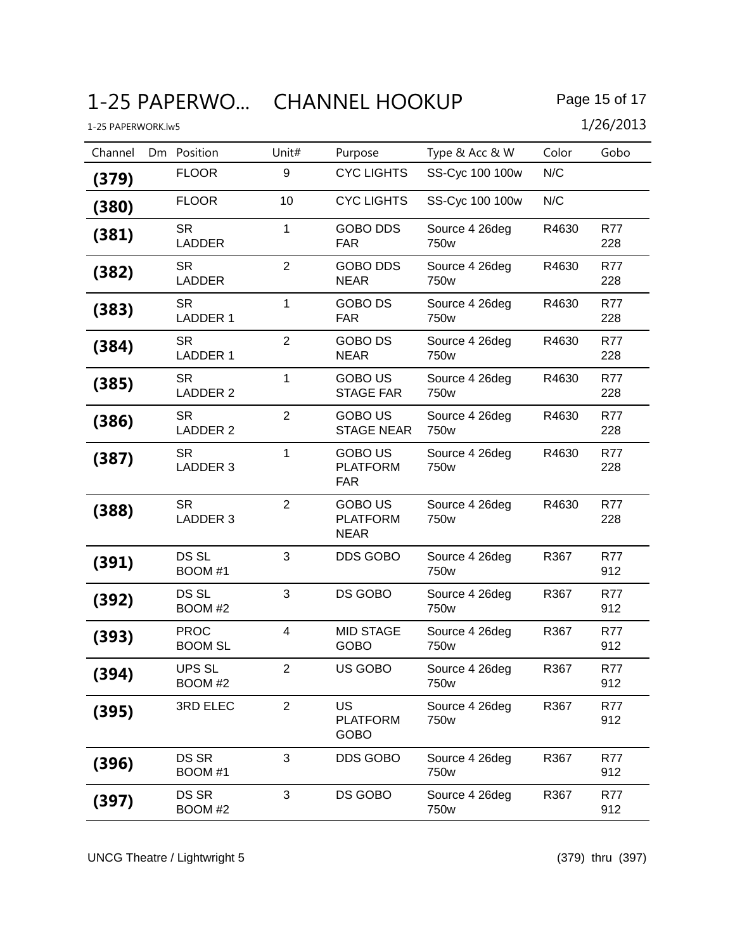# 1-25 PAPERWO... CHANNEL HOOKUP Page 15 of 17

1-25 PAPERWORK.lw5 1/26/2013

Channel Dm Position Unit# Purpose Type & Acc & W Color Gobo **(379)** FLOOR 9 CYC LIGHTS SS-Cyc 100 100w N/C

| (380) | <b>FLOOR</b>                  | 10             | <b>CYC LIGHTS</b>                                | SS-Cyc 100 100w                    | N/C   |                   |
|-------|-------------------------------|----------------|--------------------------------------------------|------------------------------------|-------|-------------------|
| (381) | <b>SR</b><br><b>LADDER</b>    | $\mathbf{1}$   | <b>GOBO DDS</b><br><b>FAR</b>                    | Source 4 26deg<br>750 <sub>w</sub> | R4630 | <b>R77</b><br>228 |
| (382) | SR.<br><b>LADDER</b>          | $\overline{2}$ | <b>GOBO DDS</b><br><b>NEAR</b>                   | Source 4 26deg<br>750w             | R4630 | <b>R77</b><br>228 |
| (383) | <b>SR</b><br><b>LADDER 1</b>  | $\mathbf{1}$   | <b>GOBO DS</b><br><b>FAR</b>                     | Source 4 26deg<br>750 <sub>w</sub> | R4630 | <b>R77</b><br>228 |
| (384) | <b>SR</b><br><b>LADDER 1</b>  | $\overline{2}$ | <b>GOBO DS</b><br><b>NEAR</b>                    | Source 4 26deg<br>750w             | R4630 | R77<br>228        |
| (385) | <b>SR</b><br><b>LADDER 2</b>  | $\mathbf{1}$   | <b>GOBO US</b><br><b>STAGE FAR</b>               | Source 4 26deg<br>750w             | R4630 | <b>R77</b><br>228 |
| (386) | <b>SR</b><br><b>LADDER 2</b>  | $\overline{2}$ | <b>GOBO US</b><br><b>STAGE NEAR</b>              | Source 4 26deg<br>750w             | R4630 | R77<br>228        |
| (387) | <b>SR</b><br>LADDER 3         | $\mathbf{1}$   | <b>GOBO US</b><br><b>PLATFORM</b><br><b>FAR</b>  | Source 4 26deg<br>750 <sub>w</sub> | R4630 | <b>R77</b><br>228 |
| (388) | <b>SR</b><br>LADDER 3         | $\overline{2}$ | <b>GOBO US</b><br><b>PLATFORM</b><br><b>NEAR</b> | Source 4 26deg<br>750w             | R4630 | <b>R77</b><br>228 |
| (391) | DS SL<br>BOOM #1              | 3              | <b>DDS GOBO</b>                                  | Source 4 26deg<br>750w             | R367  | <b>R77</b><br>912 |
| (392) | DS SL<br>BOOM #2              | 3              | DS GOBO                                          | Source 4 26deg<br>750w             | R367  | R77<br>912        |
| (393) | <b>PROC</b><br><b>BOOM SL</b> | $\overline{4}$ | <b>MID STAGE</b><br><b>GOBO</b>                  | Source 4 26deg<br>750w             | R367  | <b>R77</b><br>912 |
| (394) | <b>UPS SL</b><br>BOOM #2      | $\overline{2}$ | US GOBO                                          | Source 4 26deg<br>750 <sub>w</sub> | R367  | R77<br>912        |
| (395) | 3RD ELEC                      | $\overline{2}$ | US<br><b>PLATFORM</b><br><b>GOBO</b>             | Source 4 26deg<br>750w             | R367  | <b>R77</b><br>912 |
| (396) | <b>DS SR</b><br>BOOM #1       | 3              | <b>DDS GOBO</b>                                  | Source 4 26deg<br>750w             | R367  | <b>R77</b><br>912 |
| (397) | DS SR<br>BOOM #2              | 3              | DS GOBO                                          | Source 4 26deg<br>750w             | R367  | <b>R77</b><br>912 |

UNCG Theatre / Lightwright 5 (379) thru (397)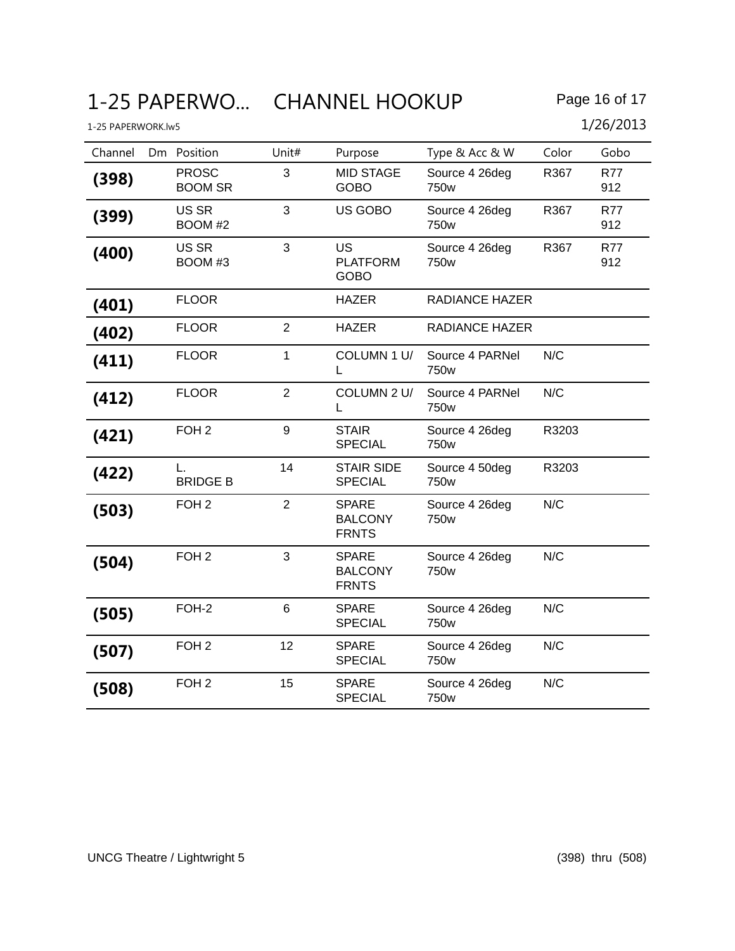# 1-25 PAPERWO... CHANNEL HOOKUP Page 16 of 17

| 1-25 PAPERWORK.lw5 |                                |                |                                                |                                    |       | 1/26/2013         |
|--------------------|--------------------------------|----------------|------------------------------------------------|------------------------------------|-------|-------------------|
| Channel            | Dm Position                    | Unit#          | Purpose                                        | Type & Acc & W                     | Color | Gobo              |
| (398)              | <b>PROSC</b><br><b>BOOM SR</b> | 3              | <b>MID STAGE</b><br><b>GOBO</b>                | Source 4 26deg<br>750w             | R367  | <b>R77</b><br>912 |
| (399)              | US SR<br>BOOM #2               | 3              | US GOBO                                        | Source 4 26deg<br>750w             | R367  | R77<br>912        |
| (400)              | US SR<br>BOOM #3               | 3              | <b>US</b><br><b>PLATFORM</b><br><b>GOBO</b>    | Source 4 26deg<br>750 <sub>w</sub> | R367  | <b>R77</b><br>912 |
| (401)              | <b>FLOOR</b>                   |                | <b>HAZER</b>                                   | <b>RADIANCE HAZER</b>              |       |                   |
| (402)              | <b>FLOOR</b>                   | $\overline{2}$ | <b>HAZER</b>                                   | <b>RADIANCE HAZER</b>              |       |                   |
| (411)              | <b>FLOOR</b>                   | 1              | COLUMN 1 U/<br>L                               | Source 4 PARNel<br>750w            | N/C   |                   |
| (412)              | <b>FLOOR</b>                   | $\overline{2}$ | COLUMN 2 U/<br>L                               | Source 4 PARNel<br>750w            | N/C   |                   |
| (421)              | FOH <sub>2</sub>               | 9              | <b>STAIR</b><br><b>SPECIAL</b>                 | Source 4 26deg<br>750w             | R3203 |                   |
| (422)              | L.<br><b>BRIDGE B</b>          | 14             | <b>STAIR SIDE</b><br><b>SPECIAL</b>            | Source 4 50deg<br>750w             | R3203 |                   |
| (503)              | FOH <sub>2</sub>               | $\overline{2}$ | <b>SPARE</b><br><b>BALCONY</b><br><b>FRNTS</b> | Source 4 26deg<br>750w             | N/C   |                   |
| (504)              | FOH <sub>2</sub>               | 3              | <b>SPARE</b><br><b>BALCONY</b><br><b>FRNTS</b> | Source 4 26deg<br>750 <sub>w</sub> | N/C   |                   |
| (505)              | FOH-2                          | $6\phantom{1}$ | <b>SPARE</b><br><b>SPECIAL</b>                 | Source 4 26deg<br>750w             | N/C   |                   |
| (507)              | FOH <sub>2</sub>               | 12             | <b>SPARE</b><br><b>SPECIAL</b>                 | Source 4 26deg<br>750 <sub>w</sub> | N/C   |                   |
| (508)              | FOH <sub>2</sub>               | 15             | <b>SPARE</b><br><b>SPECIAL</b>                 | Source 4 26deg<br>750 <sub>w</sub> | N/C   |                   |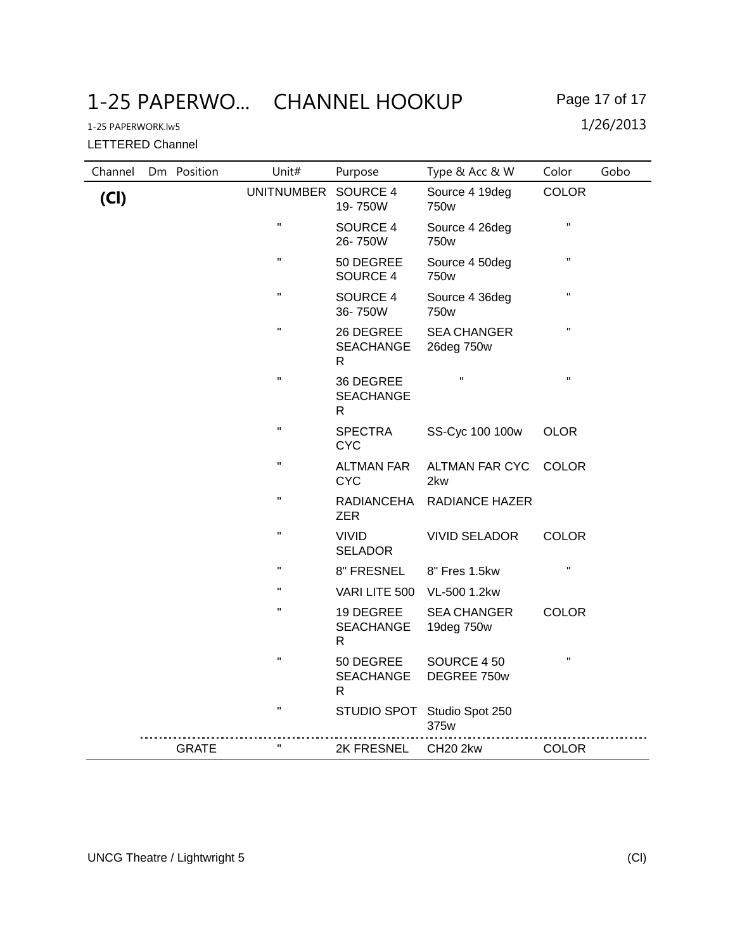1-25 PAPERWO... CHANNEL HOOKUP Page 17 of 17

LETTERED Channel

| Channel | Dm Position  | Unit#              | Purpose                                       | Type & Acc & W                      | Color              | Gobo |
|---------|--------------|--------------------|-----------------------------------------------|-------------------------------------|--------------------|------|
| (Cl)    |              | <b>UNITNUMBER</b>  | SOURCE 4<br>19-750W                           | Source 4 19deg<br>750w              | <b>COLOR</b>       |      |
|         |              | $\mathbf H$        | SOURCE 4<br>26-750W                           | Source 4 26deg<br>750w              | $\pmb{\mathsf{H}}$ |      |
|         |              | $\pmb{\mathsf{H}}$ | 50 DEGREE<br>SOURCE 4                         | Source 4 50deg<br>750w              | $\pmb{\mathsf{H}}$ |      |
|         |              | $\mathbf H$        | SOURCE 4<br>36-750W                           | Source 4 36deg<br>750w              | $\pmb{\mathsf{H}}$ |      |
|         |              | $\mathbf H$        | 26 DEGREE<br><b>SEACHANGE</b><br>$\mathsf{R}$ | <b>SEA CHANGER</b><br>26deg 750w    | $\pmb{\mathsf{H}}$ |      |
|         |              | $\pmb{\mathsf{H}}$ | 36 DEGREE<br><b>SEACHANGE</b><br>R            | Ħ                                   | $\pmb{\mathsf{H}}$ |      |
|         |              | $\pmb{\mathsf{H}}$ | <b>SPECTRA</b><br><b>CYC</b>                  | SS-Cyc 100 100w                     | <b>OLOR</b>        |      |
|         |              | $\mathbf H$        | <b>ALTMAN FAR</b><br><b>CYC</b>               | <b>ALTMAN FAR CYC</b><br>2kw        | <b>COLOR</b>       |      |
|         |              | $\pmb{\mathsf{H}}$ | RADIANCEHA<br><b>ZER</b>                      | <b>RADIANCE HAZER</b>               |                    |      |
|         |              | $\mathbf H$        | <b>VIVID</b><br><b>SELADOR</b>                | <b>VIVID SELADOR</b>                | <b>COLOR</b>       |      |
|         |              | $\mathbf H$        | 8" FRESNEL                                    | 8" Fres 1.5kw                       | $\pmb{\mathsf{H}}$ |      |
|         |              | $\mathbf{H}$       | VARI LITE 500                                 | VL-500 1.2kw                        |                    |      |
|         |              | $\pmb{\mathsf{H}}$ | 19 DEGREE<br><b>SEACHANGE</b><br>$\mathsf{R}$ | <b>SEA CHANGER</b><br>19deg 750w    | <b>COLOR</b>       |      |
|         |              | $\pmb{\mathsf{H}}$ | 50 DEGREE<br><b>SEACHANGE</b><br>$\mathsf{R}$ | SOURCE 450<br>DEGREE 750w           | $\mathbf{H}$       |      |
|         |              | $\mathbf H$        |                                               | STUDIO SPOT Studio Spot 250<br>375w |                    |      |
|         | <b>GRATE</b> | $\mathbf H$        | 2K FRESNEL                                    | CH20 2kw                            | <b>COLOR</b>       |      |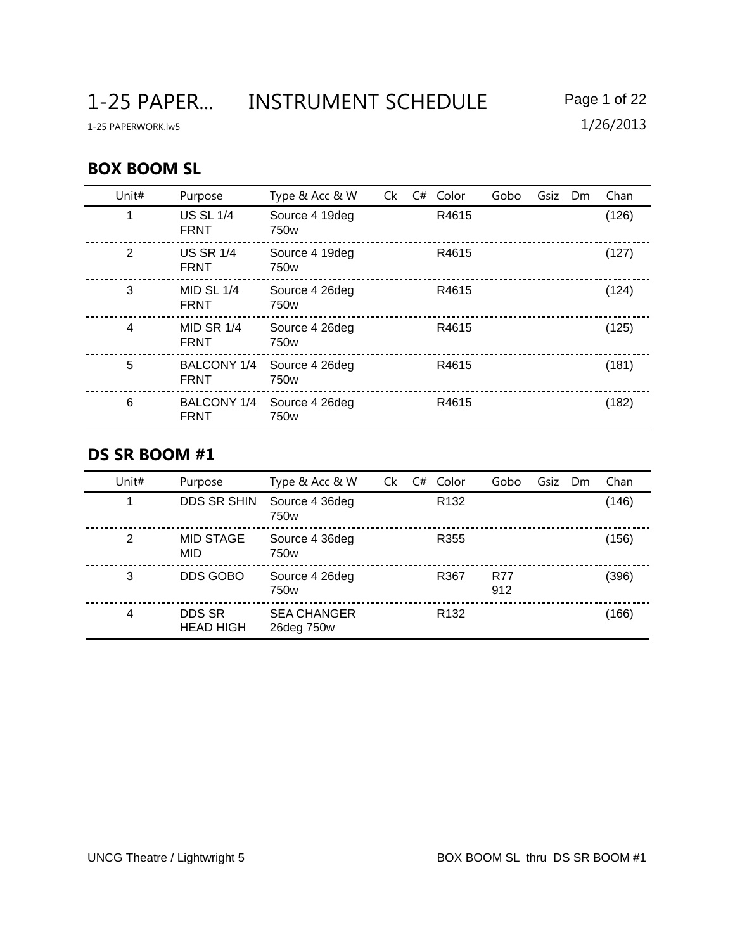1-25 PAPER... INSTRUMENT SCHEDULE Page 1 of 22

### **BOX BOOM SL**

| Unit# | Purpose                         | Type & Acc & W                     | Ck | C# | Color | Gobo | Gsiz | <b>Dm</b> | Chan  |
|-------|---------------------------------|------------------------------------|----|----|-------|------|------|-----------|-------|
|       | <b>US SL 1/4</b><br><b>FRNT</b> | Source 4 19deg<br>750w             |    |    | R4615 |      |      |           | (126) |
| 2     | <b>US SR 1/4</b><br><b>FRNT</b> | Source 4 19deg<br>750w             |    |    | R4615 |      |      |           | (127) |
| 3     | MID SL $1/4$<br><b>FRNT</b>     | Source 4 26deg<br>750w             |    |    | R4615 |      |      |           | (124) |
| 4     | MID SR $1/4$<br><b>FRNT</b>     | Source 4 26deg<br>750w             |    |    | R4615 |      |      |           | (125) |
| 5     | BALCONY 1/4<br><b>FRNT</b>      | Source 4 26deg<br>750 <sub>w</sub> |    |    | R4615 |      |      |           | (181) |
| 6     | BALCONY 1/4<br><b>FRNT</b>      | Source 4 26deg<br>750 <sub>w</sub> |    |    | R4615 |      |      |           | (182) |

#### **DS SR BOOM #1**

| Unit# | Purpose                        | Type & Acc & W                     | Ck | C# | Color            | Gobo              | Gsiz | Dm | Chan  |
|-------|--------------------------------|------------------------------------|----|----|------------------|-------------------|------|----|-------|
|       | <b>DDS SR SHIN</b>             | Source 4 36deg<br>750 <sub>w</sub> |    |    | R <sub>132</sub> |                   |      |    | (146) |
| 2     | <b>MID STAGE</b><br><b>MID</b> | Source 4 36deg<br>750 <sub>w</sub> |    |    | R355             |                   |      |    | (156) |
| 3     | DDS GOBO                       | Source 4 26deg<br>750w             |    |    | R367             | <b>R77</b><br>912 |      |    | (396) |
| 4     | DDS SR<br><b>HEAD HIGH</b>     | <b>SEA CHANGER</b><br>26deg 750w   |    |    | R <sub>132</sub> |                   |      |    | (166) |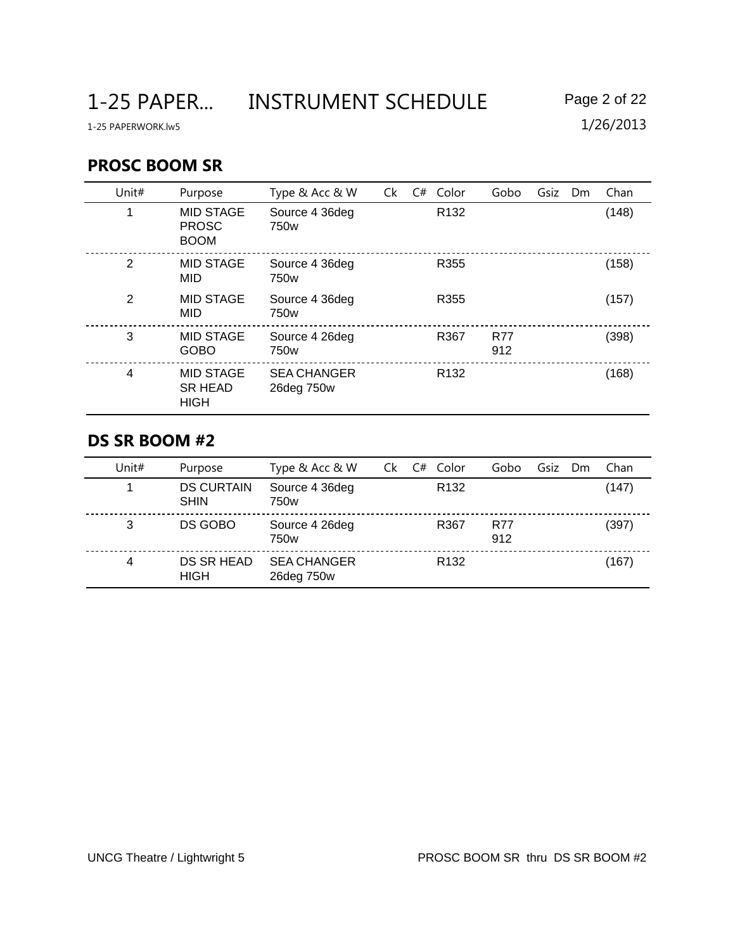1-25 PAPER... INSTRUMENT SCHEDULE Page 2 of 22

## **PROSC BOOM SR**

| Unit#          | Purpose                                           | Type & Acc & W                     | Ck | C# | Color            | Gobo              | Gsiz | Dm | Chan  |
|----------------|---------------------------------------------------|------------------------------------|----|----|------------------|-------------------|------|----|-------|
|                | <b>MID STAGE</b><br><b>PROSC</b><br><b>BOOM</b>   | Source 4 36deg<br>750 <sub>w</sub> |    |    | R <sub>132</sub> |                   |      |    | (148) |
| 2              | <b>MID STAGE</b><br>MID                           | Source 4 36deg<br>750 <sub>w</sub> |    |    | R355             |                   |      |    | (158) |
| 2              | <b>MID STAGE</b><br><b>MID</b>                    | Source 4 36deg<br>750 <sub>w</sub> |    |    | R355             |                   |      |    | (157) |
| 3              | <b>MID STAGE</b><br><b>GOBO</b>                   | Source 4 26deg<br>750w             |    |    | R367             | <b>R77</b><br>912 |      |    | (398) |
| $\overline{4}$ | <b>MID STAGE</b><br><b>SR HEAD</b><br><b>HIGH</b> | <b>SEA CHANGER</b><br>26deg 750w   |    |    | R <sub>132</sub> |                   |      |    | (168) |

# **DS SR BOOM #2**

| Unit# | Purpose                          | Type & Acc & W                     | Ck | Color<br>C#      | Gobo              | Gsiz | Dm | Chan  |
|-------|----------------------------------|------------------------------------|----|------------------|-------------------|------|----|-------|
|       | <b>DS CURTAIN</b><br><b>SHIN</b> | Source 4 36deg<br>750 <sub>w</sub> |    | R <sub>132</sub> |                   |      |    | (147) |
| 3     | DS GOBO                          | Source 4 26deg<br>750w             |    | R367             | <b>R77</b><br>912 |      |    | (397) |
| 4     | DS SR HEAD<br><b>HIGH</b>        | <b>SEA CHANGER</b><br>26deg 750w   |    | R <sub>132</sub> |                   |      |    | (167) |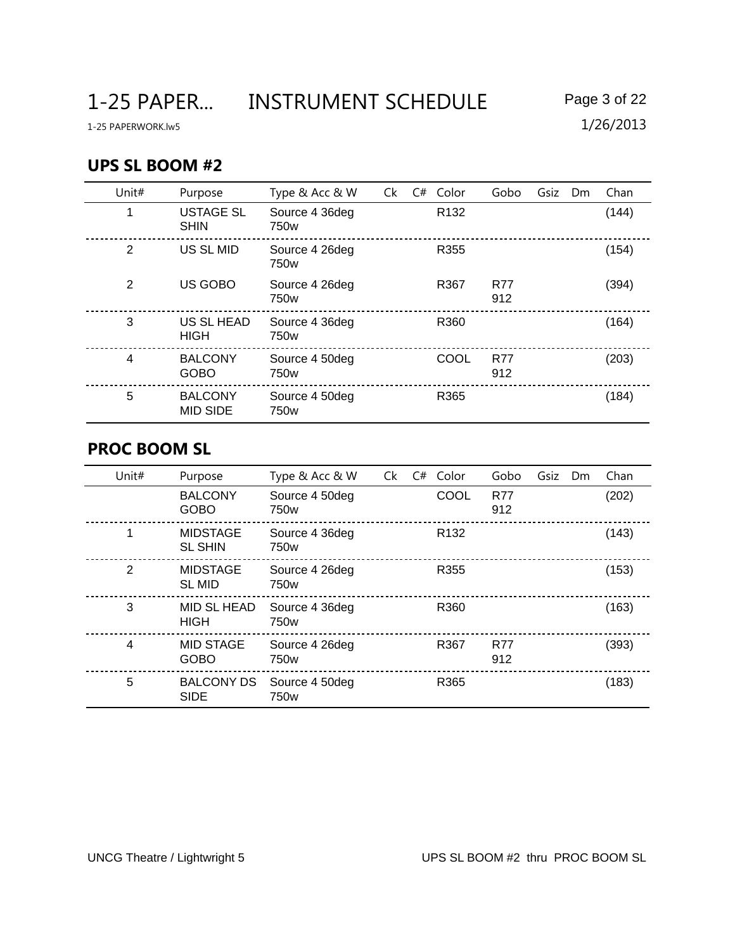1-25 PAPER... INSTRUMENT SCHEDULE Page 3 of 22

### **UPS SL BOOM #2**

| Unit#          | Purpose                           | Type & Acc & W                     | Ck | $C#$ Color       | Gobo              | Gsiz | <b>Dm</b> | Chan  |
|----------------|-----------------------------------|------------------------------------|----|------------------|-------------------|------|-----------|-------|
| 1              | <b>USTAGE SL</b><br><b>SHIN</b>   | Source 4 36deg<br>750 <sub>w</sub> |    | R <sub>132</sub> |                   |      |           | (144) |
| 2              | US SL MID                         | Source 4 26deg<br>750w             |    | R355             |                   |      |           | (154) |
| 2              | US GOBO                           | Source 4 26deg<br>750 <sub>w</sub> |    | R367             | <b>R77</b><br>912 |      |           | (394) |
| 3              | US SL HEAD<br><b>HIGH</b>         | Source 4 36deg<br>750 <sub>w</sub> |    | R360             |                   |      |           | (164) |
| $\overline{4}$ | <b>BALCONY</b><br><b>GOBO</b>     | Source 4 50deg<br>750 <sub>w</sub> |    | COOL             | <b>R77</b><br>912 |      |           | (203) |
| 5              | <b>BALCONY</b><br><b>MID SIDE</b> | Source 4 50deg<br>750 <sub>w</sub> |    | R365             |                   |      |           | (184) |

#### **PROC BOOM SL**

| Unit# | Purpose                           | Type & Acc & W                     | Ck | C# | Color            | Gobo              | Gsiz | Dm | Chan  |
|-------|-----------------------------------|------------------------------------|----|----|------------------|-------------------|------|----|-------|
|       | <b>BALCONY</b><br><b>GOBO</b>     | Source 4 50deg<br>750w             |    |    | COOL             | <b>R77</b><br>912 |      |    | (202) |
|       | <b>MIDSTAGE</b><br><b>SL SHIN</b> | Source 4 36deg<br>750w             |    |    | R <sub>132</sub> |                   |      |    | (143) |
| 2     | <b>MIDSTAGE</b><br><b>SL MID</b>  | Source 4 26deg<br>750 <sub>w</sub> |    |    | R355             |                   |      |    | (153) |
| 3     | MID SL HEAD<br><b>HIGH</b>        | Source 4 36deg<br>750 <sub>w</sub> |    |    | R360             |                   |      |    | (163) |
| 4     | <b>MID STAGE</b><br><b>GOBO</b>   | Source 4 26deg<br>750 <sub>w</sub> |    |    | R367             | <b>R77</b><br>912 |      |    | (393) |
| 5     | <b>BALCONY DS</b><br><b>SIDE</b>  | Source 4 50deg<br>750w             |    |    | R365             |                   |      |    | (183) |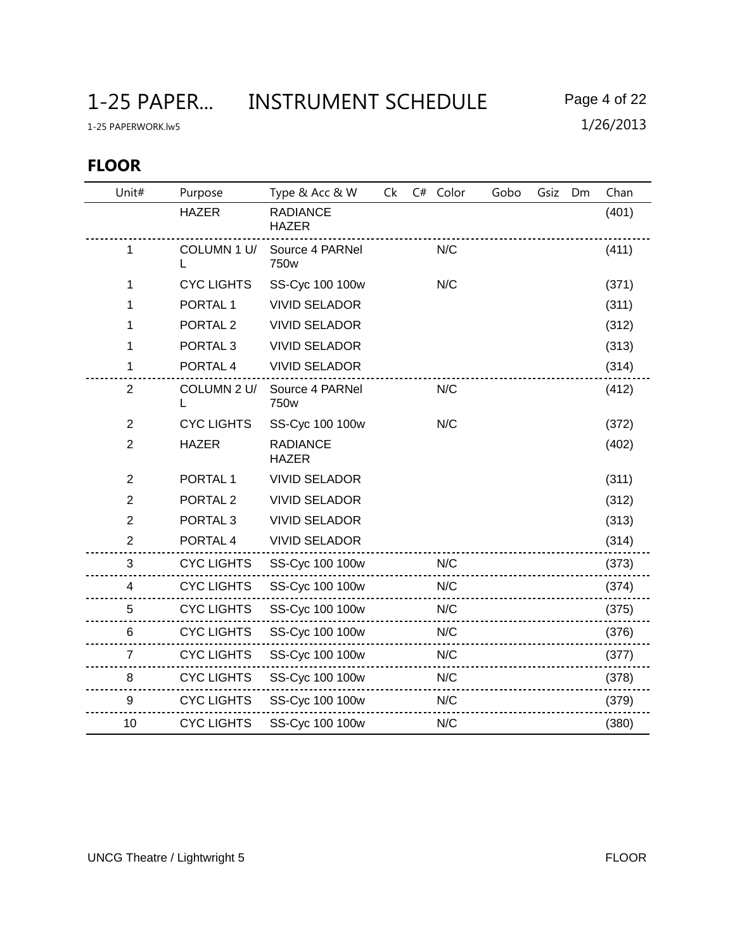## **FLOOR**

| Unit#          | Purpose             | Type & Acc & W                  | Ck | C# Color | Gobo | Gsiz | Dm | Chan  |
|----------------|---------------------|---------------------------------|----|----------|------|------|----|-------|
|                | <b>HAZER</b>        | <b>RADIANCE</b><br><b>HAZER</b> |    |          |      |      |    | (401) |
| 1              | COLUMN 1 U/         | Source 4 PARNel<br>750w         |    | N/C      |      |      |    | (411) |
| 1              | <b>CYC LIGHTS</b>   | SS-Cyc 100 100w                 |    | N/C      |      |      |    | (371) |
| 1              | PORTAL <sub>1</sub> | <b>VIVID SELADOR</b>            |    |          |      |      |    | (311) |
| 1              | PORTAL <sub>2</sub> | <b>VIVID SELADOR</b>            |    |          |      |      |    | (312) |
| 1              | PORTAL <sub>3</sub> | <b>VIVID SELADOR</b>            |    |          |      |      |    | (313) |
| 1              | PORTAL 4            | <b>VIVID SELADOR</b>            |    |          |      |      |    | (314) |
| $\overline{2}$ | COLUMN 2 U/<br>L    | Source 4 PARNel<br>750w         |    | N/C      |      |      |    | (412) |
| $\overline{2}$ | <b>CYC LIGHTS</b>   | SS-Cyc 100 100w                 |    | N/C      |      |      |    | (372) |
| $\overline{2}$ | <b>HAZER</b>        | <b>RADIANCE</b><br><b>HAZER</b> |    |          |      |      |    | (402) |
| $\overline{2}$ | PORTAL <sub>1</sub> | <b>VIVID SELADOR</b>            |    |          |      |      |    | (311) |
| $\overline{2}$ | PORTAL <sub>2</sub> | <b>VIVID SELADOR</b>            |    |          |      |      |    | (312) |
| $\overline{2}$ | PORTAL <sub>3</sub> | <b>VIVID SELADOR</b>            |    |          |      |      |    | (313) |
| $\overline{2}$ | PORTAL 4            | <b>VIVID SELADOR</b>            |    |          |      |      |    | (314) |
| 3              | <b>CYC LIGHTS</b>   | SS-Cyc 100 100w                 |    | N/C      |      |      |    | (373) |
| 4              | <b>CYC LIGHTS</b>   | SS-Cyc 100 100w                 |    | N/C      |      |      |    | (374) |
| 5              | <b>CYC LIGHTS</b>   | SS-Cyc 100 100w                 |    | N/C      |      |      |    | (375) |
| 6              | <b>CYC LIGHTS</b>   | SS-Cyc 100 100w                 |    | N/C      |      |      |    | (376) |
| $\overline{7}$ | <b>CYC LIGHTS</b>   | SS-Cyc 100 100w                 |    | N/C      |      |      |    | (377) |
| 8              | <b>CYC LIGHTS</b>   | SS-Cyc 100 100w                 |    | N/C      |      |      |    | (378) |
| 9              | <b>CYC LIGHTS</b>   | SS-Cyc 100 100w                 |    | N/C      |      |      |    | (379) |
| 10             | <b>CYC LIGHTS</b>   | SS-Cyc 100 100w                 |    | N/C      |      |      |    | (380) |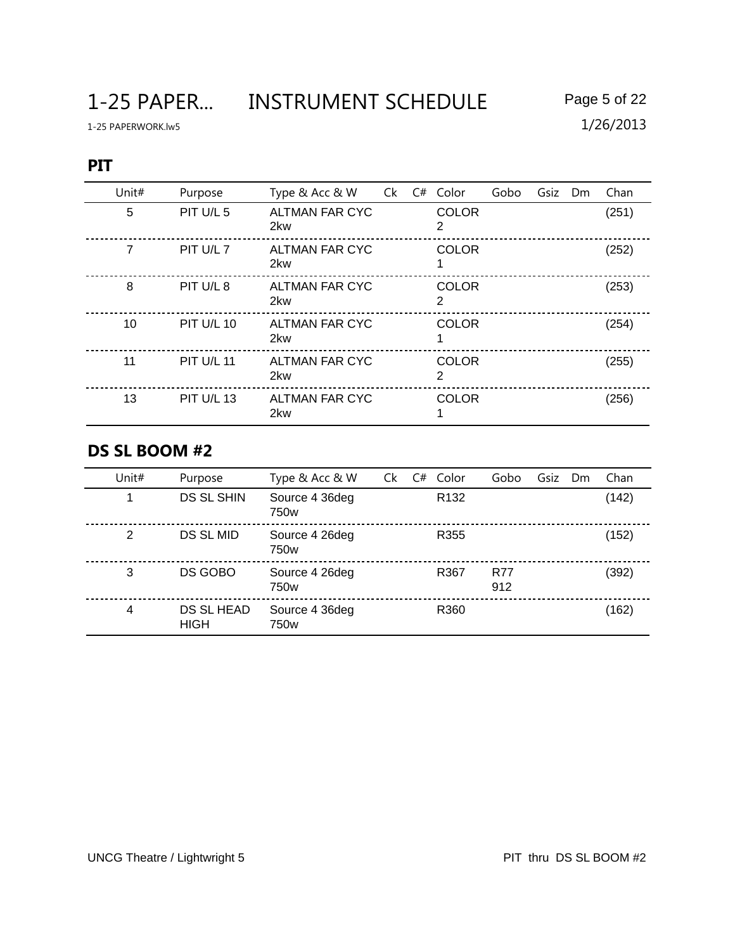1-25 PAPER... INSTRUMENT SCHEDULE Page 5 of 22

#### **PIT**

| Unit# | Purpose           | Type & Acc & W               | Ck | $C#$ Color        | Gobo | Gsiz | <b>Dm</b> | Chan  |
|-------|-------------------|------------------------------|----|-------------------|------|------|-----------|-------|
| 5     | PIT U/L 5         | ALTMAN FAR CYC<br>2kw        |    | <b>COLOR</b><br>2 |      |      |           | (251) |
| 7     | PIT U/L 7         | <b>ALTMAN FAR CYC</b><br>2kw |    | <b>COLOR</b>      |      |      |           | (252) |
| 8     | PIT U/L 8         | <b>ALTMAN FAR CYC</b><br>2kw |    | <b>COLOR</b><br>2 |      |      |           | (253) |
| 10    | <b>PIT U/L 10</b> | ALTMAN FAR CYC<br>2kw        |    | <b>COLOR</b>      |      |      |           | (254) |
| 11    | <b>PIT U/L 11</b> | <b>ALTMAN FAR CYC</b><br>2kw |    | <b>COLOR</b><br>2 |      |      |           | (255) |
| 13    | <b>PIT U/L 13</b> | ALTMAN FAR CYC<br>2kw        |    | <b>COLOR</b>      |      |      |           | (256) |

## **DS SL BOOM #2**

| Unit# | Purpose                   | Type & Acc & W                     | Ck | C# | Color            | Gobo              | Gsiz | Dm | Chan  |
|-------|---------------------------|------------------------------------|----|----|------------------|-------------------|------|----|-------|
|       | <b>DS SL SHIN</b>         | Source 4 36deg<br>750 <sub>w</sub> |    |    | R <sub>132</sub> |                   |      |    | (142) |
| 2     | DS SL MID                 | Source 4 26deg<br>750 <sub>w</sub> |    |    | R355             |                   |      |    | (152) |
| 3     | DS GOBO                   | Source 4 26deg<br>750 <sub>w</sub> |    |    | R367             | <b>R77</b><br>912 |      |    | (392) |
| 4     | DS SL HEAD<br><b>HIGH</b> | Source 4 36deg<br>750 <sub>w</sub> |    |    | R360             |                   |      |    | (162) |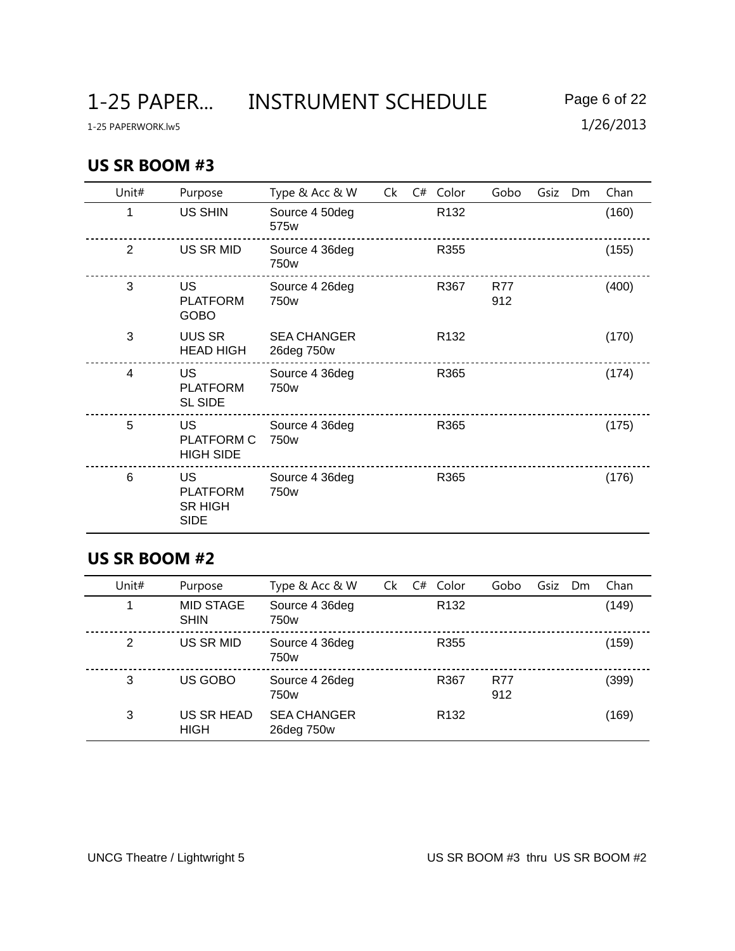#### **US SR BOOM #3**

| Unit#          | Purpose                                                       | Type & Acc & W                   | Ck | C# | Color            | Gobo              | Gsiz | Dm | Chan  |
|----------------|---------------------------------------------------------------|----------------------------------|----|----|------------------|-------------------|------|----|-------|
| 1              | <b>US SHIN</b>                                                | Source 4 50deg<br>575w           |    |    | R <sub>132</sub> |                   |      |    | (160) |
| 2              | US SR MID                                                     | Source 4 36deg<br>750w           |    |    | R355             |                   |      |    | (155) |
| 3              | <b>US</b><br><b>PLATFORM</b><br><b>GOBO</b>                   | Source 4 26deg<br>750w           |    |    | R367             | <b>R77</b><br>912 |      |    | (400) |
| 3              | <b>UUS SR</b><br><b>HEAD HIGH</b>                             | <b>SEA CHANGER</b><br>26deg 750w |    |    | R <sub>132</sub> |                   |      |    | (170) |
| $\overline{4}$ | <b>US</b><br><b>PLATFORM</b><br><b>SL SIDE</b>                | Source 4 36deg<br>750w           |    |    | R365             |                   |      |    | (174) |
| 5              | <b>US</b><br>PLATFORM C<br><b>HIGH SIDE</b>                   | Source 4 36deg<br>750w           |    |    | R365             |                   |      |    | (175) |
| 6              | <b>US</b><br><b>PLATFORM</b><br><b>SR HIGH</b><br><b>SIDE</b> | Source 4 36deg<br>750w           |    |    | R365             |                   |      |    | (176) |

# **US SR BOOM #2**

| Unit# | Purpose                         | Type & Acc & W                   | Ck | C# | Color            | Gobo              | Gsiz | Dm | Chan  |
|-------|---------------------------------|----------------------------------|----|----|------------------|-------------------|------|----|-------|
|       | <b>MID STAGE</b><br><b>SHIN</b> | Source 4 36deg<br>750w           |    |    | R <sub>132</sub> |                   |      |    | (149) |
| 2     | <b>US SR MID</b>                | Source 4 36deg<br>750w           |    |    | R355             |                   |      |    | (159) |
| 3     | US GOBO                         | Source 4 26deg<br>750w           |    |    | R367             | <b>R77</b><br>912 |      |    | (399) |
| 3     | US SR HEAD<br><b>HIGH</b>       | <b>SEA CHANGER</b><br>26deg 750w |    |    | R <sub>132</sub> |                   |      |    | (169) |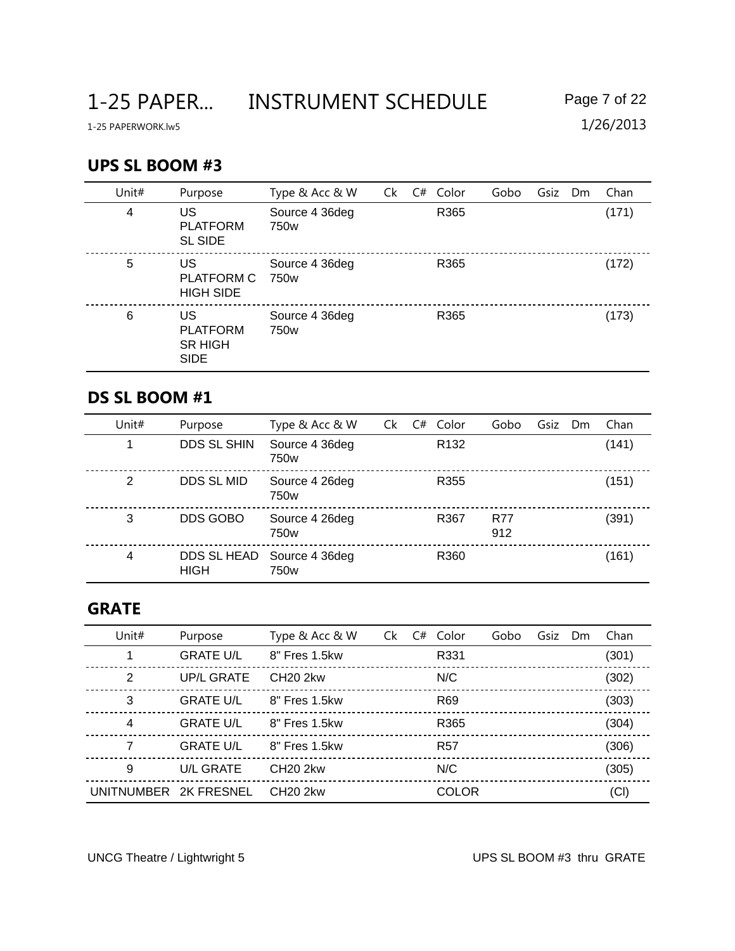#### **UPS SL BOOM #3**

| Unit# | Purpose                                                | Type & Acc & W                     | Ck | C# Color         | Gobo | Gsiz Dm | Chan  |
|-------|--------------------------------------------------------|------------------------------------|----|------------------|------|---------|-------|
| 4     | US<br><b>PLATFORM</b><br><b>SL SIDE</b>                | Source 4 36deg<br>750w             |    | R365             |      |         | (171) |
| 5     | US<br><b>PLATFORM C</b><br><b>HIGH SIDE</b>            | Source 4 36deg<br>750 <sub>w</sub> |    | R365             |      |         | (172) |
| 6     | US<br><b>PLATFORM</b><br><b>SR HIGH</b><br><b>SIDE</b> | Source 4 36deg<br>750 <sub>w</sub> |    | R <sub>365</sub> |      |         | (173) |

### **DS SL BOOM #1**

| Unit# | Purpose                    | Type & Acc & W                     | Ck | C# | Color            | Gobo              | Gsiz | Dm | Chan  |
|-------|----------------------------|------------------------------------|----|----|------------------|-------------------|------|----|-------|
|       | <b>DDS SL SHIN</b>         | Source 4 36deg<br>750w             |    |    | R <sub>132</sub> |                   |      |    | (141) |
| 2     | DDS SL MID                 | Source 4 26deg<br>750 <sub>w</sub> |    |    | R355             |                   |      |    | (151) |
| 3     | DDS GOBO                   | Source 4 26deg<br>750w             |    |    | R367             | <b>R77</b><br>912 |      |    | (391) |
| 4     | DDS SL HEAD<br><b>HIGH</b> | Source 4 36deg<br>750w             |    |    | R360             |                   |      |    | (161) |

## **GRATE**

| Unit#                 | Purpose           | Type & Acc & W       | Ck | C# | Color           | Gobo | Gsiz | Dm | Chan  |
|-----------------------|-------------------|----------------------|----|----|-----------------|------|------|----|-------|
|                       | <b>GRATE U/L</b>  | 8" Fres 1.5kw        |    |    | R331            |      |      |    | (301) |
| 2                     | <b>UP/L GRATE</b> | <b>CH20 2kw</b>      |    |    | N/C             |      |      |    | (302) |
| 3                     | <b>GRATE U/L</b>  | 8" Fres 1.5kw        |    |    | R <sub>69</sub> |      |      |    | (303) |
| 4                     | <b>GRATE U/L</b>  | 8" Fres 1.5kw        |    |    | R365            |      |      |    | (304) |
| 7                     | <b>GRATE U/L</b>  | 8" Fres 1.5 kw       |    |    | <b>R57</b>      |      |      |    | (306) |
| 9                     | <b>U/L GRATE</b>  | CH <sub>20</sub> 2kw |    |    | N/C             |      |      |    | (305) |
| UNITNUMBER 2K FRESNEL |                   | <b>CH20 2kw</b>      |    |    | <b>COLOR</b>    |      |      |    | (CI)  |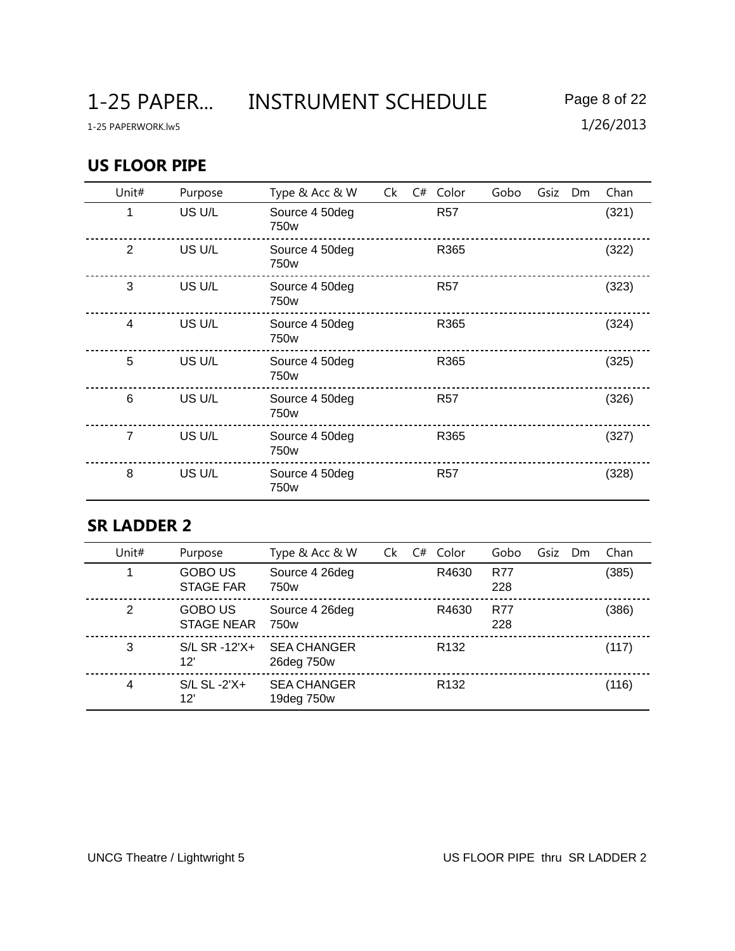### **US FLOOR PIPE**

| Unit# | Purpose | Type & Acc & W         | Ck | C# | Color      | Gobo | Gsiz | Dm | Chan  |
|-------|---------|------------------------|----|----|------------|------|------|----|-------|
| 1     | US U/L  | Source 4 50deg<br>750w |    |    | <b>R57</b> |      |      |    | (321) |
| 2     | US U/L  | Source 4 50deg<br>750w |    |    | R365       |      |      |    | (322) |
| 3     | US U/L  | Source 4 50deg<br>750w |    |    | <b>R57</b> |      |      |    | (323) |
| 4     | US U/L  | Source 4 50deg<br>750w |    |    | R365       |      |      |    | (324) |
| 5     | US U/L  | Source 4 50deg<br>750w |    |    | R365       |      |      |    | (325) |
| 6     | US U/L  | Source 4 50deg<br>750w |    |    | <b>R57</b> |      |      |    | (326) |
| 7     | US U/L  | Source 4 50deg<br>750w |    |    | R365       |      |      |    | (327) |
| 8     | US U/L  | Source 4 50deg<br>750w |    |    | <b>R57</b> |      |      |    | (328) |

### **SR LADDER 2**

| Unit# | Purpose                             | Type & Acc & W                   | Ck | C# | Color            | Gobo              | Gsiz | Dm | Chan  |
|-------|-------------------------------------|----------------------------------|----|----|------------------|-------------------|------|----|-------|
|       | <b>GOBO US</b><br><b>STAGE FAR</b>  | Source 4 26deg<br>750w           |    |    | R4630            | <b>R77</b><br>228 |      |    | (385) |
| 2     | <b>GOBO US</b><br><b>STAGE NEAR</b> | Source 4 26deg<br>750w           |    |    | R4630            | <b>R77</b><br>228 |      |    | (386) |
| 3     | S/L SR -12'X+<br>12'                | <b>SEA CHANGER</b><br>26deg 750w |    |    | R <sub>132</sub> |                   |      |    | (117) |
| 4     | $S/L$ $SL - 2'X +$<br>12'           | <b>SEA CHANGER</b><br>19deg 750w |    |    | R <sub>132</sub> |                   |      |    | (116) |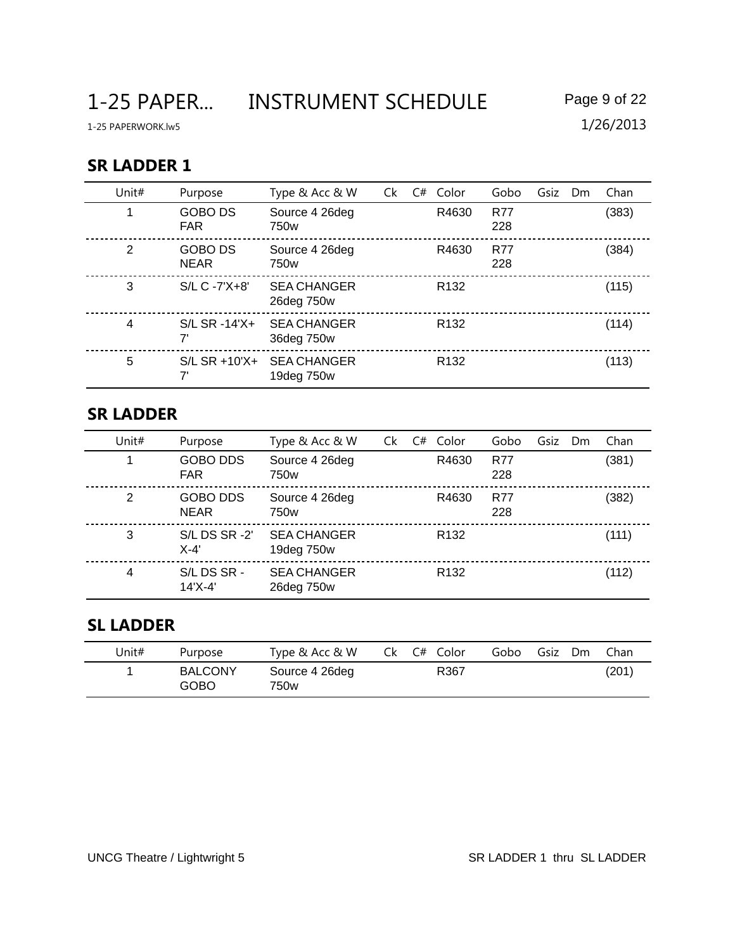1-25 PAPER... INSTRUMENT SCHEDULE Page 9 of 22

#### **SR LADDER 1**

| Unit# | Purpose                       | Type & Acc & W                     | Ck | C# | Color            | Gobo              | Gsiz | <b>Dm</b> | Chan  |
|-------|-------------------------------|------------------------------------|----|----|------------------|-------------------|------|-----------|-------|
|       | <b>GOBO DS</b><br><b>FAR</b>  | Source 4 26deg<br>750 <sub>w</sub> |    |    | R4630            | <b>R77</b><br>228 |      |           | (383) |
| 2     | <b>GOBO DS</b><br><b>NEAR</b> | Source 4 26deg<br>750w             |    |    | R4630            | <b>R77</b><br>228 |      |           | (384) |
| 3     | $S/L C - 7'X + 8'$            | <b>SEA CHANGER</b><br>26deg 750w   |    |    | R <sub>132</sub> |                   |      |           | (115) |
| 4     | $S/L$ SR -14'X+<br>7'         | <b>SEA CHANGER</b><br>36deg 750w   |    |    | R <sub>132</sub> |                   |      |           | (114) |
| 5     | $S/L$ SR +10'X+<br>7'         | <b>SEA CHANGER</b><br>19deg 750w   |    |    | R <sub>132</sub> |                   |      |           | (113) |

#### **SR LADDER**

| Unit#          | Purpose                        | Type & Acc & W                   | Ck | C# | Color            | Gobo              | Gsiz | Dm | Chan  |
|----------------|--------------------------------|----------------------------------|----|----|------------------|-------------------|------|----|-------|
|                | <b>GOBO DDS</b><br><b>FAR</b>  | Source 4 26deg<br>750w           |    |    | R4630            | <b>R77</b><br>228 |      |    | (381) |
| 2              | <b>GOBO DDS</b><br><b>NEAR</b> | Source 4 26deg<br>750w           |    |    | R4630            | <b>R77</b><br>228 |      |    | (382) |
| 3              | S/L DS SR-2'<br>$X-4'$         | <b>SEA CHANGER</b><br>19deg 750w |    |    | R <sub>132</sub> |                   |      |    | (111) |
| $\overline{4}$ | S/L DS SR -<br>14'X-4'         | <b>SEA CHANGER</b><br>26deg 750w |    |    | R <sub>132</sub> |                   |      |    | (112) |

## **SL LADDER**

| Unit# | Purpose                       | Type & Acc & W         | Ck C# Color<br>Gobo | Gsiz<br>Dm<br>Chan |
|-------|-------------------------------|------------------------|---------------------|--------------------|
|       | <b>BALCONY</b><br><b>GOBO</b> | Source 4 26deg<br>750w | R367                | (201)              |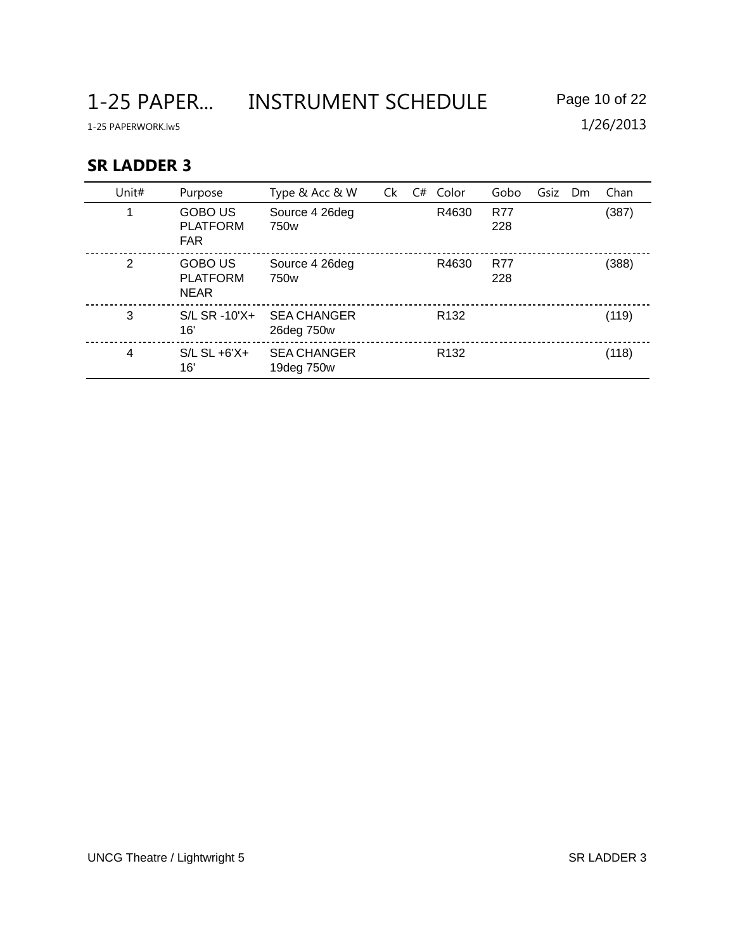1-25 PAPER... INSTRUMENT SCHEDULE Page 10 of 22

1-25 PAPERWORK.lw5 1/26/2013

### **SR LADDER 3**

| Unit# | Purpose                                          | Type & Acc & W                     | Ck | C# | Color            | Gobo              | Gsiz | Dm | Chan  |
|-------|--------------------------------------------------|------------------------------------|----|----|------------------|-------------------|------|----|-------|
|       | <b>GOBO US</b><br><b>PLATFORM</b><br><b>FAR</b>  | Source 4 26deg<br>750w             |    |    | R4630            | <b>R77</b><br>228 |      |    | (387) |
| 2     | <b>GOBO US</b><br><b>PLATFORM</b><br><b>NEAR</b> | Source 4 26deg<br>750 <sub>w</sub> |    |    | R4630            | <b>R77</b><br>228 |      |    | (388) |
| 3     | $S/L$ SR -10'X+<br>16'                           | <b>SEA CHANGER</b><br>26deg 750w   |    |    | R <sub>132</sub> |                   |      |    | (119) |
| 4     | $S/L$ SL $+6'X+$<br>16'                          | <b>SEA CHANGER</b><br>19deg 750w   |    |    | R <sub>132</sub> |                   |      |    | (118) |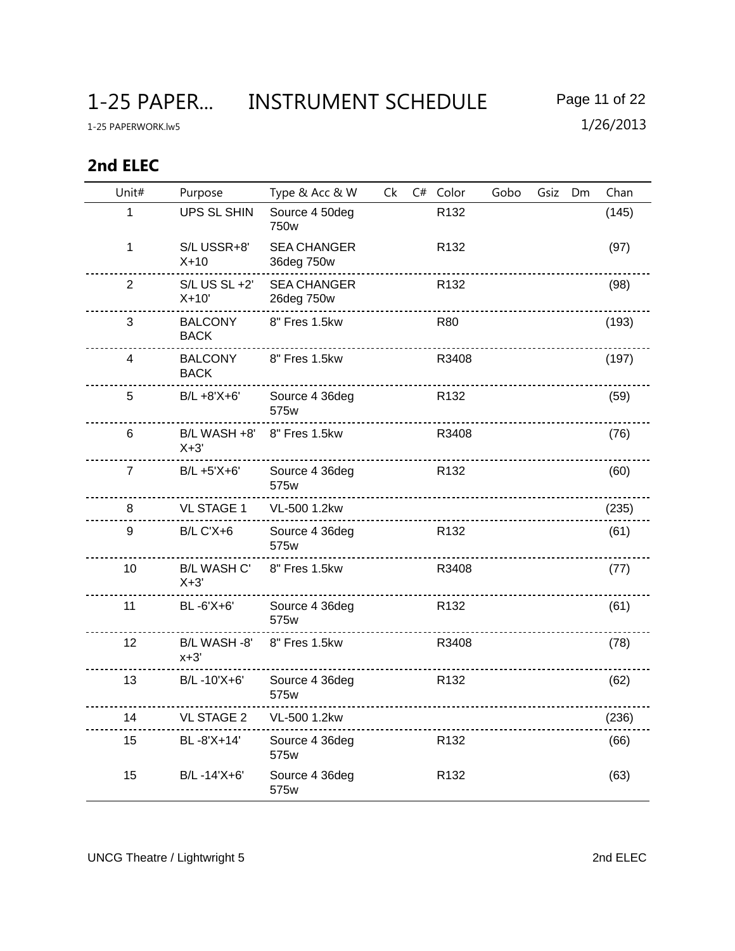1-25 PAPER... INSTRUMENT SCHEDULE Page 11 of 22

# **2nd ELEC**

| Unit#          | Purpose                       | Type & Acc & W                   | Ck | C# Color                                            | Gobo | Gsiz | Dm | Chan  |
|----------------|-------------------------------|----------------------------------|----|-----------------------------------------------------|------|------|----|-------|
| 1              | UPS SL SHIN                   | Source 4 50deg<br>750w           |    | R132                                                |      |      |    | (145) |
| 1              | S/L USSR+8'<br>$X+10$         | <b>SEA CHANGER</b><br>36deg 750w |    | R132                                                |      |      |    | (97)  |
| $\overline{2}$ | $S/L$ US $SL + 2'$<br>$X+10'$ | <b>SEA CHANGER</b><br>26deg 750w |    | R <sub>132</sub>                                    |      |      |    | (98)  |
| 3              | <b>BALCONY</b><br><b>BACK</b> | 8" Fres 1.5kw                    |    | <b>R80</b>                                          |      |      |    | (193) |
| 4              | <b>BALCONY</b><br><b>BACK</b> | 8" Fres 1.5kw                    |    | R3408                                               |      |      |    | (197) |
| 5              | B/L +8'X+6'                   | Source 4 36deg<br>575w           |    | R <sub>132</sub>                                    |      |      |    | (59)  |
| 6              | B/L WASH +8'<br>$X+3'$        | 8" Fres 1.5kw                    |    | R3408                                               |      |      |    | (76)  |
| $\overline{7}$ | B/L +5'X+6'                   | Source 4 36deg<br>575w           |    | R <sub>132</sub><br>------------------------------- |      |      |    | (60)  |
| 8              | <b>VL STAGE 1</b>             | VL-500 1.2kw                     |    |                                                     |      |      |    | (235) |
| 9              | <b>B/L C'X+6</b>              | Source 4 36deg<br>575w           |    | R <sub>132</sub>                                    |      |      |    | (61)  |
| 10             | <b>B/L WASH C'</b><br>$X+3'$  | 8" Fres 1.5kw                    |    | R3408                                               |      |      |    | (77)  |
| 11             | BL-6'X+6'                     | Source 4 36deg<br>575w           |    | R <sub>132</sub>                                    |      |      |    | (61)  |
| 12             | B/L WASH -8'<br>$x+3'$        | 8" Fres 1.5kw                    |    | R3408                                               |      |      |    | (78)  |
| 13             | B/L-10'X+6'                   | Source 4 36deg<br>575w           |    | R <sub>132</sub>                                    |      |      |    | (62)  |
| 14             | <b>VL STAGE 2</b>             | VL-500 1.2kw                     |    |                                                     |      |      |    | (236) |
| 15             | BL-8'X+14'                    | Source 4 36deg<br>575w           |    | R <sub>132</sub>                                    |      |      |    | (66)  |
| 15             | B/L-14'X+6'                   | Source 4 36deg<br>575w           |    | R <sub>132</sub>                                    |      |      |    | (63)  |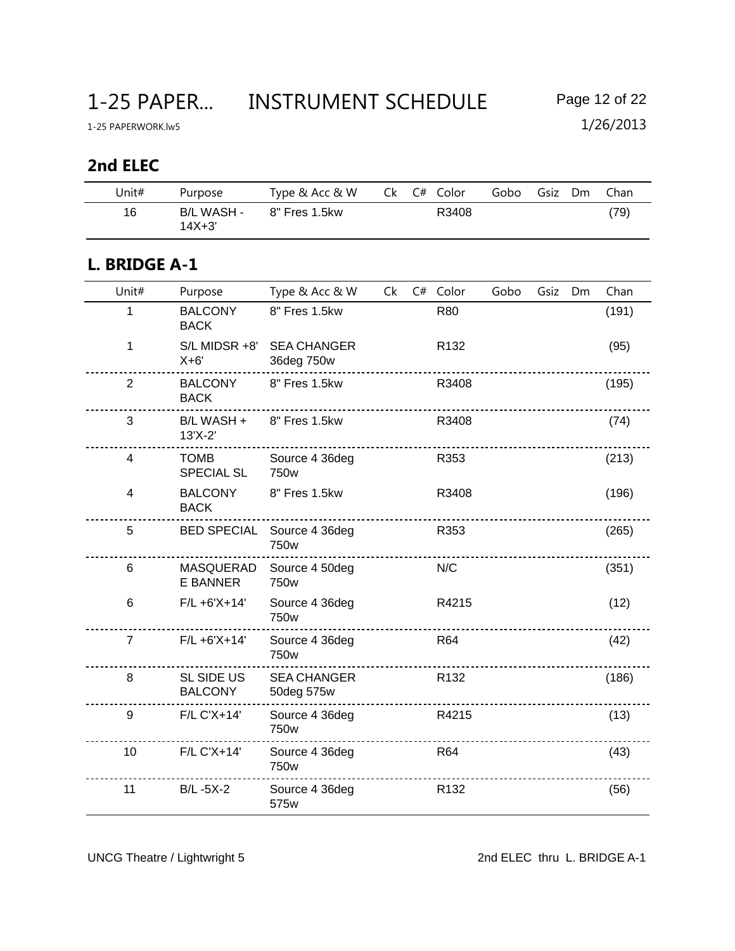## **2nd ELEC**

| Unit# | Purpose                  | Type & Acc & W |  | Ck C# Color | Gobo | Gsiz | Dm | Chan |
|-------|--------------------------|----------------|--|-------------|------|------|----|------|
| 16    | B/L WASH -<br>$14X + 3'$ | 8" Fres 1.5kw  |  | R3408       |      |      |    | (79) |

### **L. BRIDGE A-1**

| Unit#          | Purpose                             | Type & Acc & W                   | Ck | C# Color         | Gobo | Gsiz | Dm | Chan  |
|----------------|-------------------------------------|----------------------------------|----|------------------|------|------|----|-------|
| 1              | <b>BALCONY</b><br><b>BACK</b>       | 8" Fres 1.5kw                    |    | R80              |      |      |    | (191) |
| 1              | S/L MIDSR +8'<br>$X+6'$             | <b>SEA CHANGER</b><br>36deg 750w |    | R <sub>132</sub> |      |      |    | (95)  |
| $\overline{2}$ | <b>BALCONY</b><br><b>BACK</b>       | 8" Fres 1.5kw                    |    | R3408            |      |      |    | (195) |
| 3              | B/L WASH +<br>13'X-2'               | 8" Fres 1.5kw                    |    | R3408            |      |      |    | (74)  |
| 4              | <b>TOMB</b><br><b>SPECIAL SL</b>    | Source 4 36deg<br>750w           |    | R353             |      |      |    | (213) |
| 4              | <b>BALCONY</b><br><b>BACK</b>       | 8" Fres 1.5kw                    |    | R3408            |      |      |    | (196) |
| 5              | <b>BED SPECIAL</b>                  | Source 4 36deg<br>750w           |    | R353             |      |      |    | (265) |
| 6              | MASQUERAD<br><b>E BANNER</b>        | Source 4 50deg<br>750w           |    | N/C              |      |      |    | (351) |
| 6              | $F/L + 6'X + 14'$                   | Source 4 36deg<br>750w           |    | R4215            |      |      |    | (12)  |
| $\overline{7}$ | $F/L + 6'X + 14'$                   | Source 4 36deg<br>750w           |    | <b>R64</b>       |      |      |    | (42)  |
| 8              | <b>SL SIDE US</b><br><b>BALCONY</b> | <b>SEA CHANGER</b><br>50deg 575w |    | R <sub>132</sub> |      |      |    | (186) |
| 9              | F/L C'X+14'                         | Source 4 36deg<br>750w           |    | R4215            |      |      |    | (13)  |
| 10             | F/L C'X+14'                         | Source 4 36deg<br>750w           |    | <b>R64</b>       |      |      |    | (43)  |
| 11             | <b>B/L-5X-2</b>                     | Source 4 36deg<br>575w           |    | R <sub>132</sub> |      |      |    | (56)  |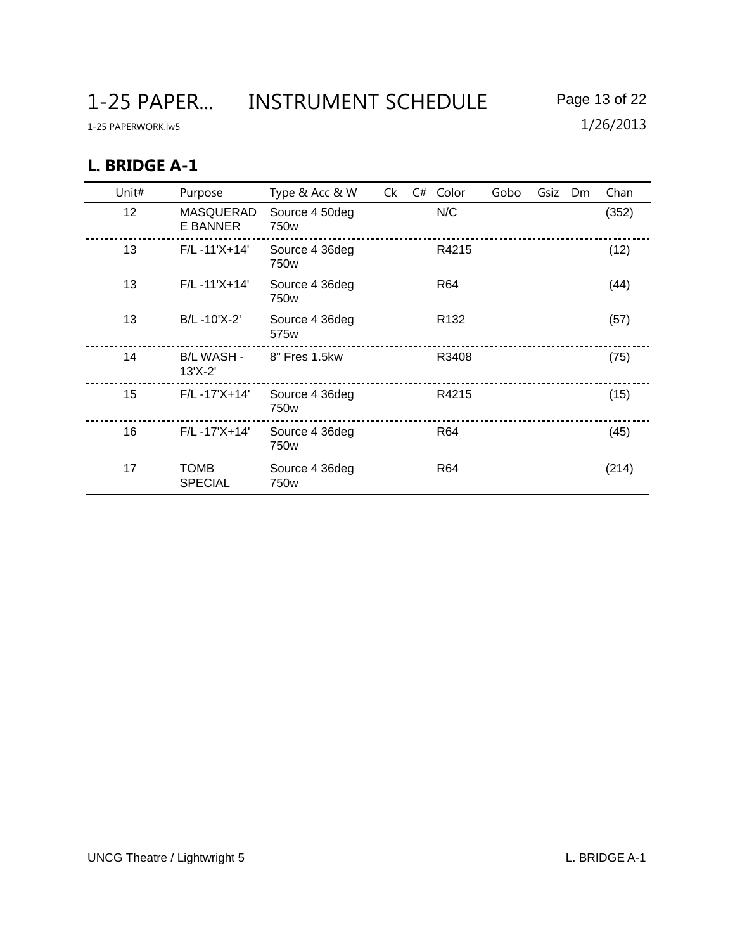1-25 PAPER... INSTRUMENT SCHEDULE Page 13 of 22

1-25 PAPERWORK.lw5 1/26/2013

## **L. BRIDGE A-1**

| Unit# | Purpose                        | Type & Acc & W                     | Ck | C# | Color            | Gobo | Gsiz | <b>Dm</b> | Chan  |
|-------|--------------------------------|------------------------------------|----|----|------------------|------|------|-----------|-------|
| 12    | MASQUERAD<br>E BANNER          | Source 4 50deg<br>750w             |    |    | N/C              |      |      |           | (352) |
| 13    | $F/L - 11'X + 14'$             | Source 4 36deg<br>750w             |    |    | R4215            |      |      |           | (12)  |
| 13    | $F/L - 11'X + 14'$             | Source 4 36deg<br>750w             |    |    | R64              |      |      |           | (44)  |
| 13    | B/L-10'X-2'                    | Source 4 36deg<br>575 <sub>w</sub> |    |    | R <sub>132</sub> |      |      |           | (57)  |
| 14    | <b>B/L WASH -</b><br>$13'X-2'$ | 8" Fres 1.5kw                      |    |    | R3408            |      |      |           | (75)  |
| 15    | $F/L - 17'X + 14'$             | Source 4 36deg<br>750w             |    |    | R4215            |      |      |           | (15)  |
| 16    | $F/L - 17'X + 14'$             | Source 4 36deg<br>750w             |    |    | R64              |      |      |           | (45)  |
| 17    | <b>TOMB</b><br><b>SPECIAL</b>  | Source 4 36deg<br>750w             |    |    | R64              |      |      |           | (214) |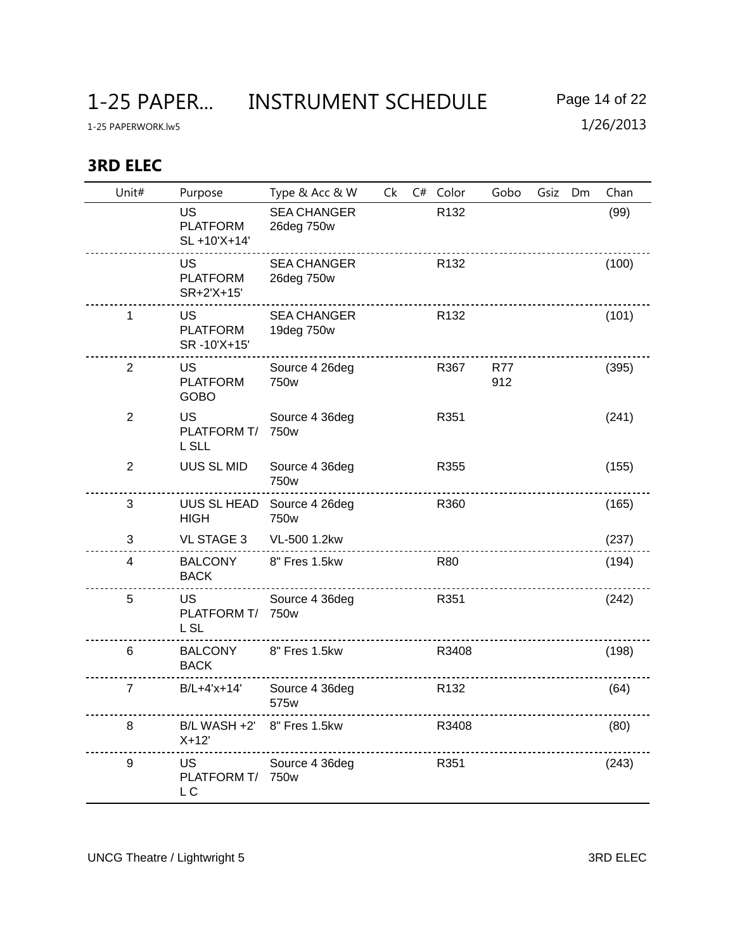## **3RD ELEC**

| Unit#          | Purpose                                      | Type & Acc & W                     | Ck | C# Color         | Gobo              | Gsiz | Dm | Chan  |
|----------------|----------------------------------------------|------------------------------------|----|------------------|-------------------|------|----|-------|
|                | <b>US</b><br><b>PLATFORM</b><br>SL +10'X+14' | <b>SEA CHANGER</b><br>26deg 750w   |    | R132             |                   |      |    | (99)  |
|                | <b>US</b><br><b>PLATFORM</b><br>SR+2'X+15'   | <b>SEA CHANGER</b><br>26deg 750w   |    | R <sub>132</sub> |                   |      |    | (100) |
| 1              | US<br><b>PLATFORM</b><br>SR-10'X+15'         | <b>SEA CHANGER</b><br>19deg 750w   |    | R <sub>132</sub> |                   |      |    | (101) |
| $\overline{2}$ | <b>US</b><br><b>PLATFORM</b><br><b>GOBO</b>  | Source 4 26deg<br>750 <sub>w</sub> |    | R367             | <b>R77</b><br>912 |      |    | (395) |
| $\overline{2}$ | <b>US</b><br>PLATFORM T/<br>L SLL            | Source 4 36deg<br>750w             |    | R351             |                   |      |    | (241) |
| $\overline{2}$ | UUS SL MID                                   | Source 4 36deg<br>750w             |    | R355             |                   |      |    | (155) |
| 3              | <b>HIGH</b>                                  | UUS SL HEAD Source 4 26deg<br>750w |    | R360             |                   |      |    | (165) |
| 3              | <b>VL STAGE 3</b>                            | VL-500 1.2kw                       |    |                  |                   |      |    | (237) |
| $\overline{4}$ | <b>BALCONY</b><br><b>BACK</b>                | 8" Fres 1.5kw                      |    | <b>R80</b>       |                   |      |    | (194) |
| 5              | US<br>PLATFORM T/<br><b>LSL</b>              | Source 4 36deg<br>750 <sub>w</sub> |    | R351             |                   |      |    | (242) |
| 6              | <b>BALCONY</b><br><b>BACK</b>                | 8" Fres 1.5kw                      |    | R3408            |                   |      |    | (198) |
| $\overline{7}$ | B/L+4'x+14'                                  | Source 4 36deg<br>575w             |    | R <sub>132</sub> |                   |      |    | (64)  |
| 8              | B/L WASH +2' 8" Fres 1.5kw<br>$X+12'$        |                                    |    | R3408            |                   |      |    | (80)  |
| 9              | US<br>PLATFORM T/<br>L <sub>C</sub>          | Source 4 36deg<br>750 <sub>w</sub> |    | R351             |                   |      |    | (243) |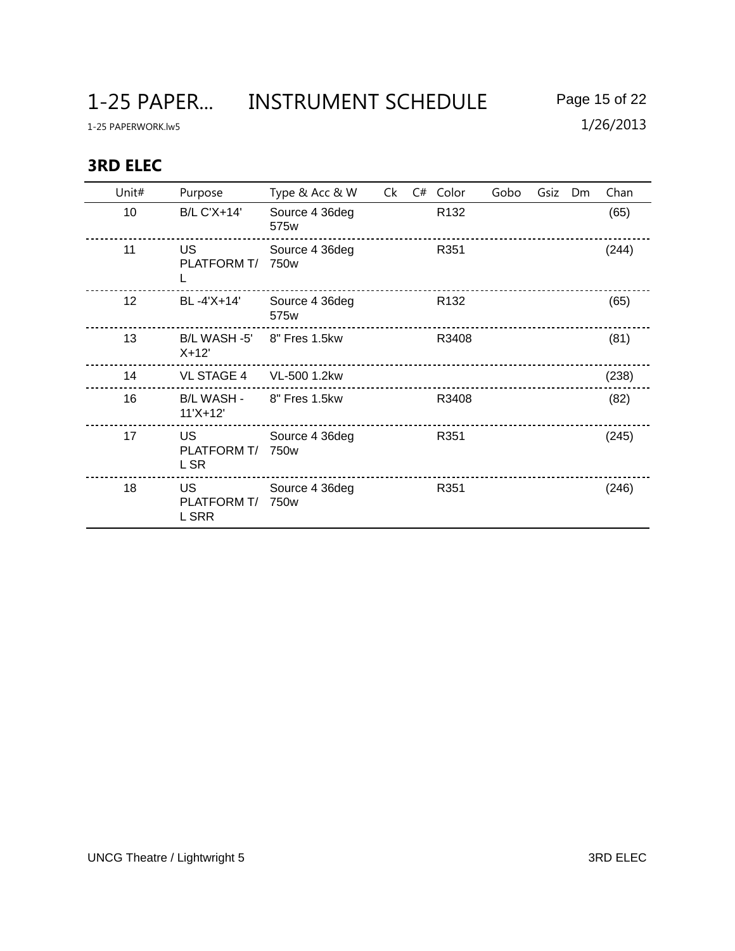1-25 PAPER... INSTRUMENT SCHEDULE Page 15 of 22

## **3RD ELEC**

| Unit# | Purpose                           | Type & Acc & W                     | Ck | C# | Color            | Gobo | Gsiz | Dm | Chan  |
|-------|-----------------------------------|------------------------------------|----|----|------------------|------|------|----|-------|
| 10    | <b>B/L C'X+14'</b>                | Source 4 36deg<br>575w             |    |    | R <sub>132</sub> |      |      |    | (65)  |
| 11    | <b>US</b><br>PLATFORM T/<br>L     | Source 4 36deg<br>750 <sub>w</sub> |    |    | R351             |      |      |    | (244) |
| 12    | BL-4'X+14'                        | Source 4 36deg<br>575w             |    |    | R <sub>132</sub> |      |      |    | (65)  |
| 13    | B/L WASH -5'<br>$X+12'$           | 8" Fres 1.5kw                      |    |    | R3408            |      |      |    | (81)  |
| 14    | <b>VL STAGE 4</b>                 | VL-500 1.2kw                       |    |    |                  |      |      |    | (238) |
| 16    | <b>B/L WASH -</b><br>$11'X+12'$   | 8" Fres 1.5kw                      |    |    | R3408            |      |      |    | (82)  |
| 17    | <b>US</b><br>PLATFORM T/<br>L SR  | Source 4 36deg<br>750 <sub>w</sub> |    |    | R351             |      |      |    | (245) |
| 18    | <b>US</b><br>PLATFORM T/<br>L SRR | Source 4 36deg<br>750w             |    |    | R351             |      |      |    | (246) |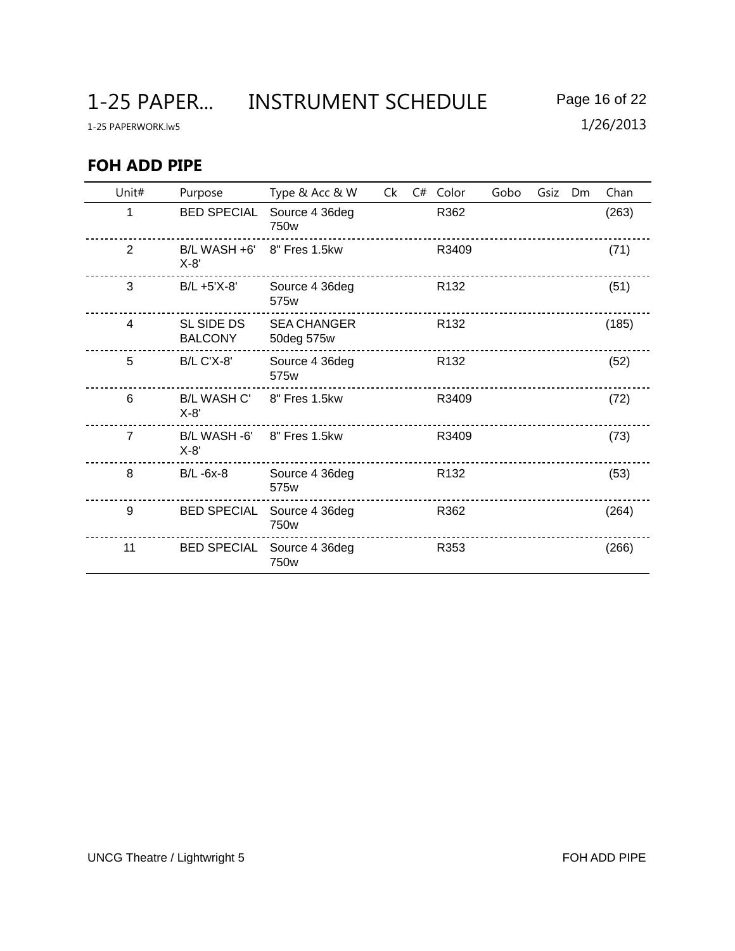1-25 PAPER... INSTRUMENT SCHEDULE Page 16 of 22

1-25 PAPERWORK.lw5 1/26/2013

## **FOH ADD PIPE**

| Unit#          | Purpose                      | Type & Acc & W                     | Ck | C# | Color            | Gobo | Gsiz | Dm | Chan  |
|----------------|------------------------------|------------------------------------|----|----|------------------|------|------|----|-------|
| 1              | <b>BED SPECIAL</b>           | Source 4 36deg<br>750 <sub>w</sub> |    |    | R362             |      |      |    | (263) |
| $\overline{2}$ | B/L WASH +6'<br>$X-8'$       | 8" Fres 1.5kw                      |    |    | R3409            |      |      |    | (71)  |
| 3              | B/L +5'X-8'                  | Source 4 36deg<br>575 <sub>w</sub> |    |    | R <sub>132</sub> |      |      |    | (51)  |
| $\overline{4}$ | SL SIDE DS<br><b>BALCONY</b> | <b>SEA CHANGER</b><br>50deg 575w   |    |    | R <sub>132</sub> |      |      |    | (185) |
| 5              | <b>B/L C'X-8'</b>            | Source 4 36deg<br>575w             |    |    | R <sub>132</sub> |      |      |    | (52)  |
| 6              | <b>B/L WASH C'</b><br>$X-8'$ | 8" Fres 1.5kw                      |    |    | R3409            |      |      |    | (72)  |
| $\overline{7}$ | B/L WASH -6'<br>$X-8'$       | 8" Fres 1.5kw                      |    |    | R3409            |      |      |    | (73)  |
| 8              | $B/L - 6x-8$                 | Source 4 36deg<br>575w             |    |    | R <sub>132</sub> |      |      |    | (53)  |
| 9              | <b>BED SPECIAL</b>           | Source 4 36deg<br>750w             |    |    | R362             |      |      |    | (264) |
| 11             | <b>BED SPECIAL</b>           | Source 4 36deg<br>750w             |    |    | R353             |      |      |    | (266) |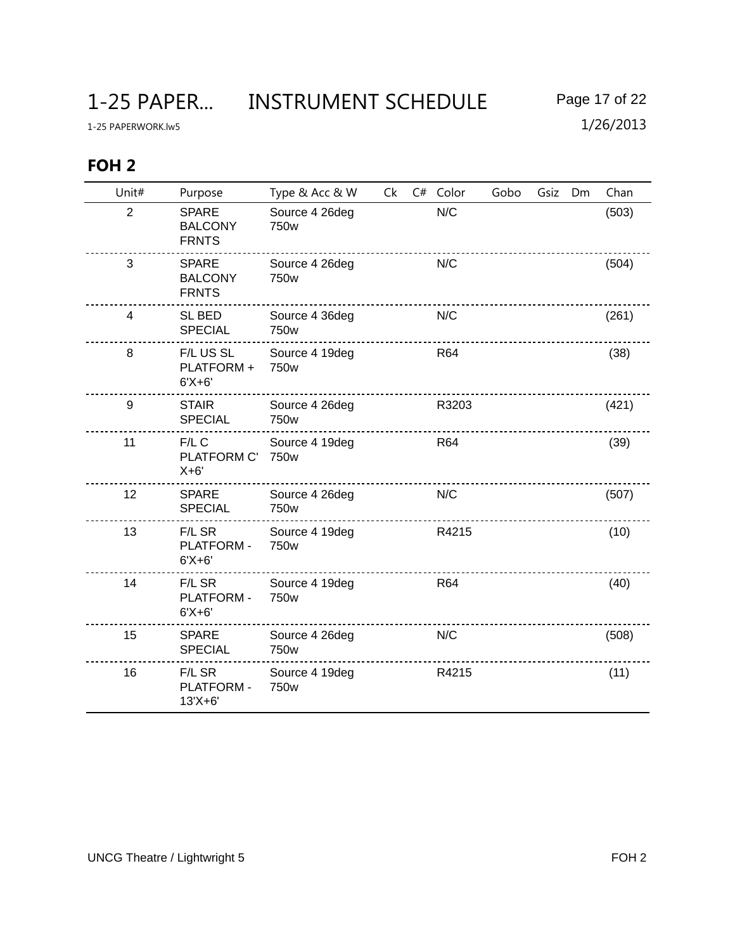## **FOH 2**

| Unit#          | Purpose                                        | Type & Acc & W                     | Ck | C# Color   | Gobo | Gsiz | Dm | Chan  |
|----------------|------------------------------------------------|------------------------------------|----|------------|------|------|----|-------|
| $\overline{2}$ | <b>SPARE</b><br><b>BALCONY</b><br><b>FRNTS</b> | Source 4 26deg<br>750w             |    | N/C        |      |      |    | (503) |
| 3              | <b>SPARE</b><br><b>BALCONY</b><br><b>FRNTS</b> | Source 4 26deg<br>750w             |    | N/C        |      |      |    | (504) |
| $\overline{4}$ | SL BED<br><b>SPECIAL</b>                       | Source 4 36deg<br>750w             |    | N/C        |      |      |    | (261) |
| 8              | F/L US SL<br>PLATFORM +<br>$6'X + 6'$          | Source 4 19deg<br>750 <sub>w</sub> |    | <b>R64</b> |      |      |    | (38)  |
| 9              | <b>STAIR</b><br><b>SPECIAL</b>                 | Source 4 26deg<br>750w             |    | R3203      |      |      |    | (421) |
| 11             | $F/L$ C<br>PLATFORM C'<br>$X+6'$               | Source 4 19deg<br>750w             |    | R64        |      |      |    | (39)  |
| 12             | <b>SPARE</b><br><b>SPECIAL</b>                 | Source 4 26deg<br>750w             |    | N/C        |      |      |    | (507) |
| 13             | F/L SR<br>PLATFORM -<br>$6'X+6'$               | Source 4 19deg<br>750 <sub>w</sub> |    | R4215      |      |      |    | (10)  |
| 14             | F/L SR<br><b>PLATFORM -</b><br>$6'X + 6'$      | Source 4 19deg<br>750w             |    | <b>R64</b> |      |      |    | (40)  |
| 15             | <b>SPARE</b><br><b>SPECIAL</b>                 | Source 4 26deg<br>750w             |    | N/C        |      |      |    | (508) |
| 16             | F/L SR<br>PLATFORM -<br>$13'X + 6'$            | Source 4 19deg<br>750w             |    | R4215      |      |      |    | (11)  |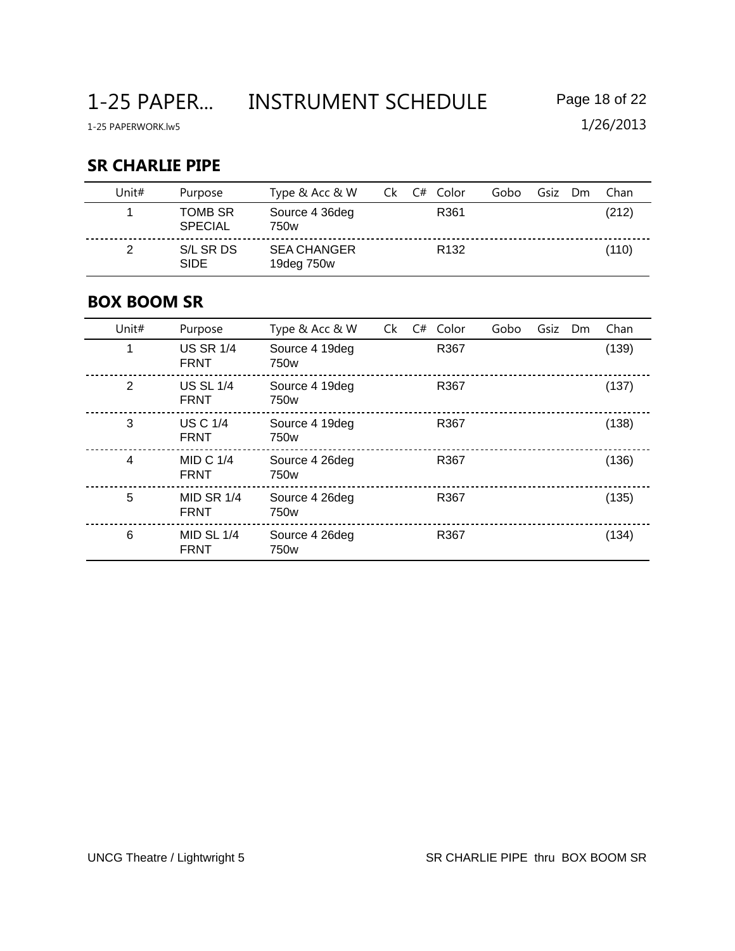## **SR CHARLIE PIPE**

| Unit# | Purpose                   | Type & Acc & W                   | Ck. | C# Color         | Gobo | Gsiz | Dm. | Chan  |
|-------|---------------------------|----------------------------------|-----|------------------|------|------|-----|-------|
|       | TOMB SR<br><b>SPECIAL</b> | Source 4 36deg<br>750w           |     | R361             |      |      |     | (212) |
|       | S/L SR DS<br><b>SIDE</b>  | <b>SEA CHANGER</b><br>19deg 750w |     | R <sub>132</sub> |      |      |     | (110) |

### **BOX BOOM SR**

| Unit# | Purpose                          | Type & Acc & W                     | Ck | C# | Color | Gobo | Gsiz | D <sub>m</sub> | Chan  |
|-------|----------------------------------|------------------------------------|----|----|-------|------|------|----------------|-------|
| 1     | <b>US SR 1/4</b><br><b>FRNT</b>  | Source 4 19deg<br>750 <sub>w</sub> |    |    | R367  |      |      |                | (139) |
| 2     | <b>US SL 1/4</b><br><b>FRNT</b>  | Source 4 19deg<br>750w             |    |    | R367  |      |      |                | (137) |
| 3     | <b>US C 1/4</b><br><b>FRNT</b>   | Source 4 19deg<br>750 <sub>w</sub> |    |    | R367  |      |      |                | (138) |
| 4     | MID C $1/4$<br><b>FRNT</b>       | Source 4 26deg<br>750 <sub>w</sub> |    |    | R367  |      |      |                | (136) |
| 5     | <b>MID SR 1/4</b><br><b>FRNT</b> | Source 4 26deg<br>750 <sub>w</sub> |    |    | R367  |      |      |                | (135) |
| 6     | MID SL $1/4$<br><b>FRNT</b>      | Source 4 26deg<br>750w             |    |    | R367  |      |      |                | (134) |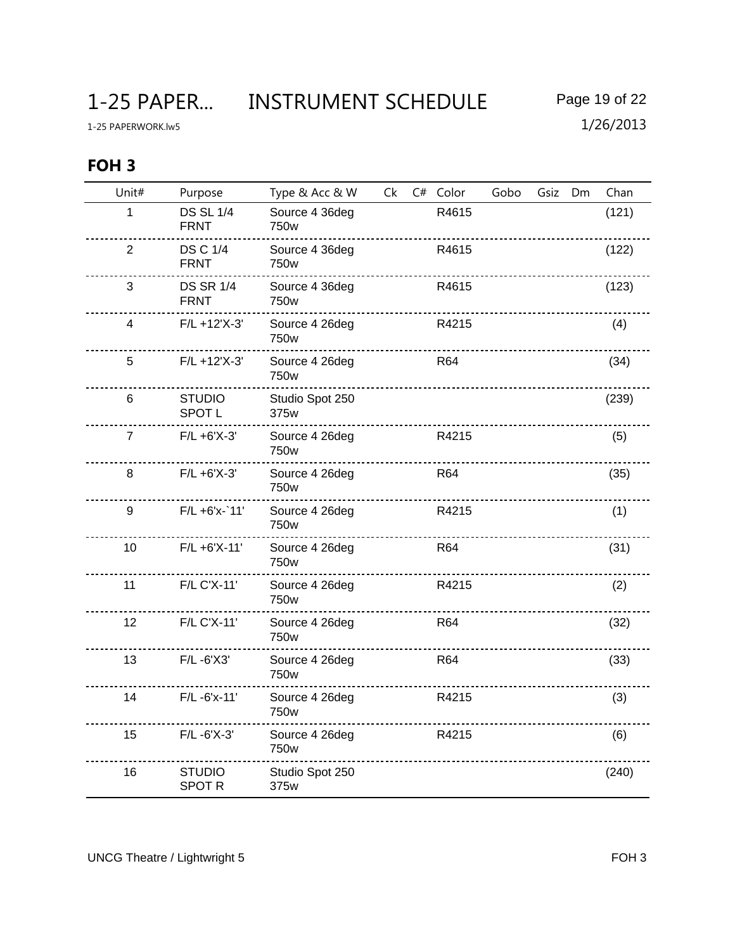1-25 PAPER... INSTRUMENT SCHEDULE Page 19 of 22

## **FOH 3**

| Unit#          | Purpose                         | Type & Acc & W          | Ck | C# Color   | Gobo | Gsiz | Dm | Chan  |
|----------------|---------------------------------|-------------------------|----|------------|------|------|----|-------|
| 1              | <b>DS SL 1/4</b><br><b>FRNT</b> | Source 4 36deg<br>750w  |    | R4615      |      |      |    | (121) |
| $\overline{2}$ | <b>DS C 1/4</b><br><b>FRNT</b>  | Source 4 36deg<br>750w  |    | R4615      |      |      |    | (122) |
| 3              | <b>DS SR 1/4</b><br><b>FRNT</b> | Source 4 36deg<br>750w  |    | R4615      |      |      |    | (123) |
| 4              | $F/L + 12'X-3'$                 | Source 4 26deg<br>750w  |    | R4215      |      |      |    | (4)   |
| 5              | $F/L + 12'X-3'$                 | Source 4 26deg<br>750w  |    | <b>R64</b> |      |      |    | (34)  |
| 6              | <b>STUDIO</b><br><b>SPOT L</b>  | Studio Spot 250<br>375w |    |            |      |      |    | (239) |
| $\overline{7}$ | $F/L + 6'X-3'$                  | Source 4 26deg<br>750w  |    | R4215      |      |      |    | (5)   |
| 8              | $F/L + 6'X-3'$                  | Source 4 26deg<br>750w  |    | <b>R64</b> |      |      |    | (35)  |
| 9              | $F/L + 6'x - 11'$               | Source 4 26deg<br>750w  |    | R4215      |      |      |    | (1)   |
| 10             | $F/L + 6'X-11'$                 | Source 4 26deg<br>750w  |    | <b>R64</b> |      |      |    | (31)  |
| 11             | F/L C'X-11'                     | Source 4 26deg<br>750w  |    | R4215      |      |      |    | (2)   |
| 12             | F/L C'X-11'                     | Source 4 26deg<br>750w  |    | <b>R64</b> |      |      |    | (32)  |
| 13             | $F/L - 6'X3'$                   | Source 4 26deg<br>750w  |    | R64        |      |      |    | (33)  |
| 14             | F/L-6'x-11'                     | Source 4 26deg<br>750w  |    | R4215      |      |      |    | (3)   |
| 15             | F/L-6'X-3'                      | Source 4 26deg<br>750w  |    | R4215      |      |      |    | (6)   |
| 16             | <b>STUDIO</b><br><b>SPOT R</b>  | Studio Spot 250<br>375w |    |            |      |      |    | (240) |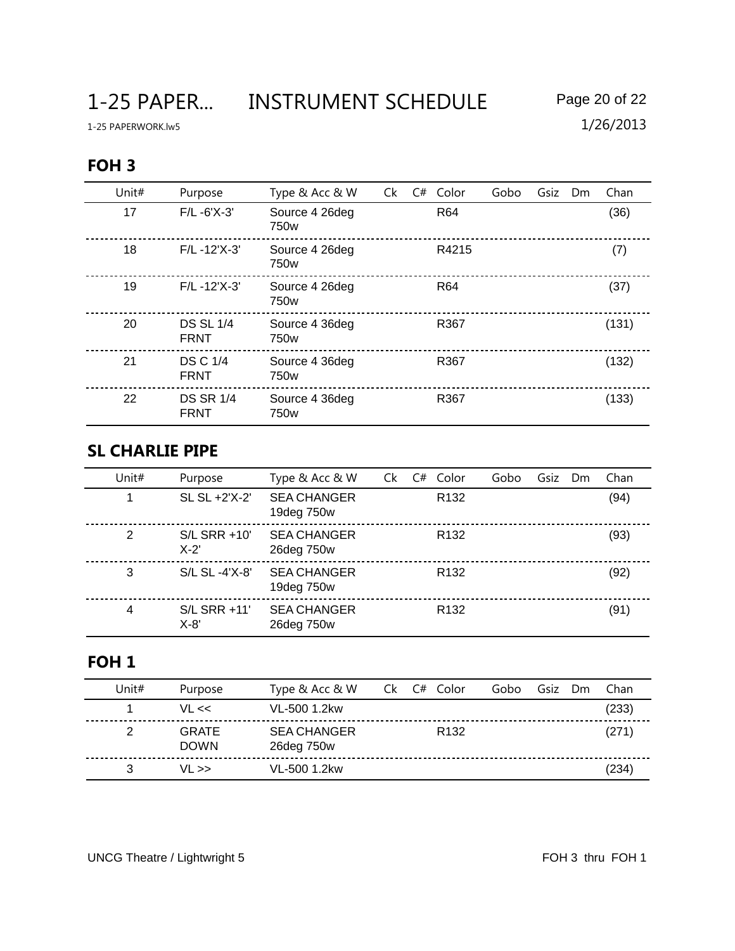1-25 PAPER... INSTRUMENT SCHEDULE Page 20 of 22

1-25 PAPERWORK.lw5 1/26/2013

# **FOH 3**

| Unit# | Purpose                         | Type & Acc & W                     | Ck | C# Color        | Gobo | Gsiz | Dm | Chan  |
|-------|---------------------------------|------------------------------------|----|-----------------|------|------|----|-------|
| 17    | $F/L - 6'X - 3'$                | Source 4 26deg<br>750w             |    | R64             |      |      |    | (36)  |
| 18    | $F/L - 12'X-3'$                 | Source 4 26deg<br>750w             |    | R4215           |      |      |    | (7)   |
| 19    | $F/L - 12'X - 3'$               | Source 4 26deg<br>750 <sub>w</sub> |    | R <sub>64</sub> |      |      |    | (37)  |
| 20    | <b>DS SL 1/4</b><br><b>FRNT</b> | Source 4 36deg<br>750 <sub>w</sub> |    | R367            |      |      |    | (131) |
| 21    | <b>DS C 1/4</b><br><b>FRNT</b>  | Source 4 36deg<br>750 <sub>w</sub> |    | R367            |      |      |    | (132) |
| 22    | <b>DS SR 1/4</b><br><b>FRNT</b> | Source 4 36deg<br>750w             |    | R367            |      |      |    | (133) |

### **SL CHARLIE PIPE**

| Unit# | Purpose                  | Type & Acc & W                   | Ck | C# | Color            | Gobo | Gsiz | <b>Dm</b> | Chan |
|-------|--------------------------|----------------------------------|----|----|------------------|------|------|-----------|------|
|       | SL SL +2'X-2'            | <b>SEA CHANGER</b><br>19deg 750w |    |    | R <sub>132</sub> |      |      |           | (94) |
| 2     | $S/L$ SRR +10'<br>$X-2'$ | <b>SEA CHANGER</b><br>26deg 750w |    |    | R <sub>132</sub> |      |      |           | (93) |
| 3     | S/L SL -4'X-8'           | <b>SEA CHANGER</b><br>19deg 750w |    |    | R <sub>132</sub> |      |      |           | (92) |
| 4     | S/L SRR +11'<br>$X-8'$   | <b>SEA CHANGER</b><br>26deg 750w |    |    | R <sub>132</sub> |      |      |           | (91) |

## **FOH 1**

| Unit# | Purpose                     | Type & Acc & W                   | C# Color<br>Ck L | Gobo | Gsiz | Dm | Chan  |
|-------|-----------------------------|----------------------------------|------------------|------|------|----|-------|
|       | $VL \ll$                    | VL-500 1.2kw                     |                  |      |      |    | (233) |
|       | <b>GRATE</b><br><b>DOWN</b> | <b>SEA CHANGER</b><br>26deg 750w | R <sub>132</sub> |      |      |    | (271) |
|       | $VL \gg$                    | VL-500 1.2kw                     |                  |      |      |    | (234) |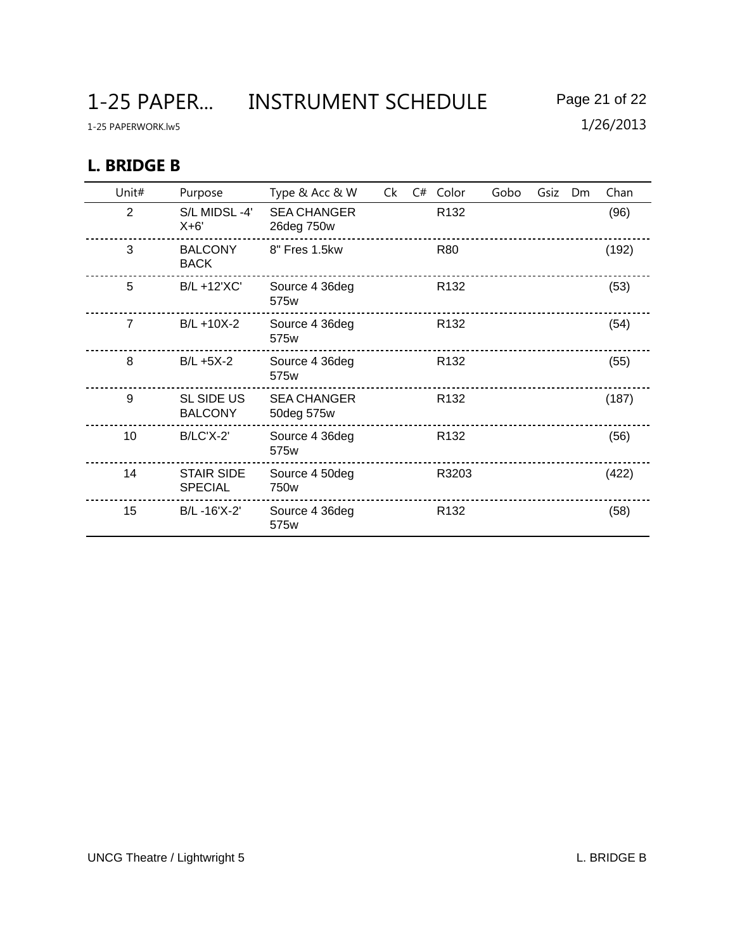1-25 PAPER... INSTRUMENT SCHEDULE Page 21 of 22

### **L. BRIDGE B**

| Unit#          | Purpose                             | Type & Acc & W                     | Ck | C# | Color            | Gobo | Gsiz | Dm | Chan  |
|----------------|-------------------------------------|------------------------------------|----|----|------------------|------|------|----|-------|
| 2              | S/L MIDSL-4'<br>$X+6'$              | <b>SEA CHANGER</b><br>26deg 750w   |    |    | R <sub>132</sub> |      |      |    | (96)  |
| 3              | <b>BALCONY</b><br><b>BACK</b>       | 8" Fres 1.5kw                      |    |    | <b>R80</b>       |      |      |    | (192) |
| 5              | B/L +12'XC'                         | Source 4 36deg<br>575w             |    |    | R <sub>132</sub> |      |      |    | (53)  |
| $\overline{7}$ | $B/L + 10X-2$                       | Source 4 36deg<br>575w             |    |    | R <sub>132</sub> |      |      |    | (54)  |
| 8              | $B/L + 5X-2$                        | Source 4 36deg<br>575w             |    |    | R <sub>132</sub> |      |      |    | (55)  |
| 9              | <b>SL SIDE US</b><br><b>BALCONY</b> | <b>SEA CHANGER</b><br>50deg 575w   |    |    | R <sub>132</sub> |      |      |    | (187) |
| 10             | B/LC'X-2'                           | Source 4 36deg<br>575 <sub>w</sub> |    |    | R <sub>132</sub> |      |      |    | (56)  |
| 14             | <b>STAIR SIDE</b><br><b>SPECIAL</b> | Source 4 50deg<br>750w             |    |    | R3203            |      |      |    | (422) |
| 15             | B/L-16'X-2'                         | Source 4 36deg<br>575w             |    |    | R <sub>132</sub> |      |      |    | (58)  |